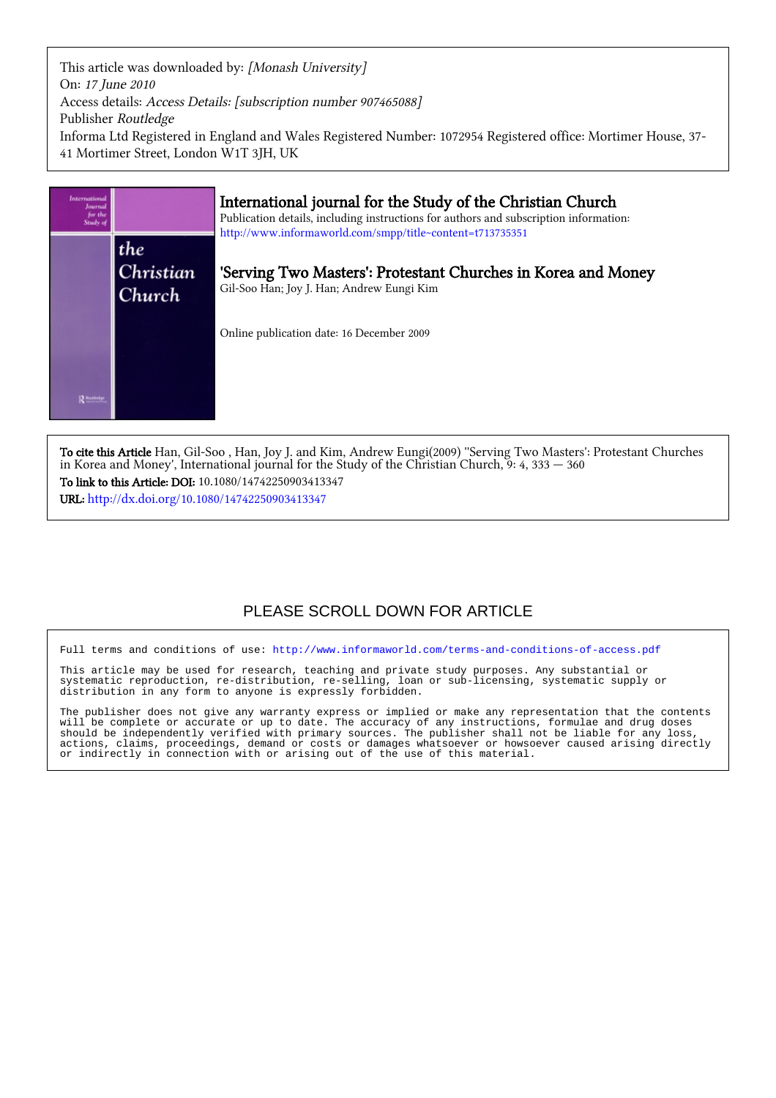This article was downloaded by: [Monash University] On: 17 June 2010 Access details: Access Details: [subscription number 907465088] Publisher Routledge Informa Ltd Registered in England and Wales Registered Number: 1072954 Registered office: Mortimer House, 37- 41 Mortimer Street, London W1T 3JH, UK



To cite this Article Han, Gil-Soo , Han, Joy J. and Kim, Andrew Eungi(2009) ''Serving Two Masters': Protestant Churches in Korea and Money', International journal for the Study of the Christian Church, 9: 4, 333 — 360 To link to this Article: DOI: 10.1080/14742250903413347 URL: <http://dx.doi.org/10.1080/14742250903413347>

# PLEASE SCROLL DOWN FOR ARTICLE

Full terms and conditions of use:<http://www.informaworld.com/terms-and-conditions-of-access.pdf>

This article may be used for research, teaching and private study purposes. Any substantial or systematic reproduction, re-distribution, re-selling, loan or sub-licensing, systematic supply or distribution in any form to anyone is expressly forbidden.

The publisher does not give any warranty express or implied or make any representation that the contents will be complete or accurate or up to date. The accuracy of any instructions, formulae and drug doses should be independently verified with primary sources. The publisher shall not be liable for any loss, actions, claims, proceedings, demand or costs or damages whatsoever or howsoever caused arising directly or indirectly in connection with or arising out of the use of this material.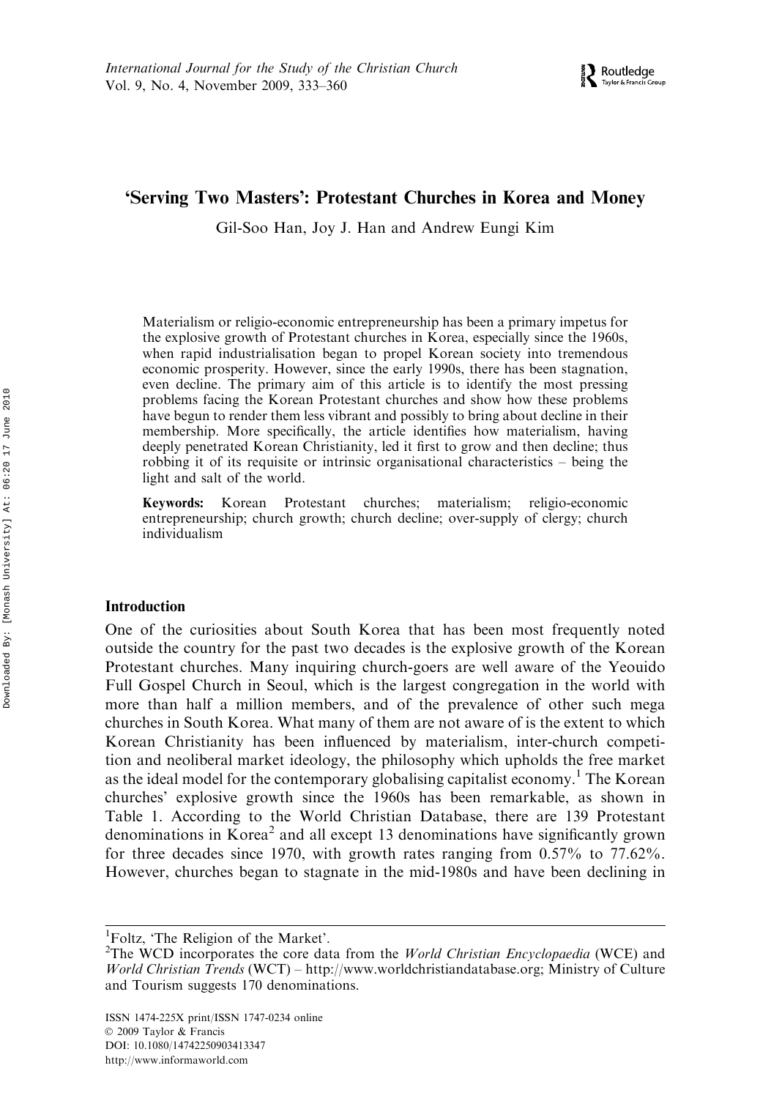# 'Serving Two Masters': Protestant Churches in Korea and Money

Gil-Soo Han, Joy J. Han and Andrew Eungi Kim

Materialism or religio-economic entrepreneurship has been a primary impetus for the explosive growth of Protestant churches in Korea, especially since the 1960s, when rapid industrialisation began to propel Korean society into tremendous economic prosperity. However, since the early 1990s, there has been stagnation, even decline. The primary aim of this article is to identify the most pressing problems facing the Korean Protestant churches and show how these problems have begun to render them less vibrant and possibly to bring about decline in their membership. More specifically, the article identifies how materialism, having deeply penetrated Korean Christianity, led it first to grow and then decline; thus robbing it of its requisite or intrinsic organisational characteristics – being the light and salt of the world.

Keywords: Korean Protestant churches; materialism; religio-economic entrepreneurship; church growth; church decline; over-supply of clergy; church individualism

#### Introduction

One of the curiosities about South Korea that has been most frequently noted outside the country for the past two decades is the explosive growth of the Korean Protestant churches. Many inquiring church-goers are well aware of the Yeouido Full Gospel Church in Seoul, which is the largest congregation in the world with more than half a million members, and of the prevalence of other such mega churches in South Korea. What many of them are not aware of is the extent to which Korean Christianity has been influenced by materialism, inter-church competition and neoliberal market ideology, the philosophy which upholds the free market as the ideal model for the contemporary globalising capitalist economy.<sup>1</sup> The Korean churches' explosive growth since the 1960s has been remarkable, as shown in Table 1. According to the World Christian Database, there are 139 Protestant denominations in Korea<sup>2</sup> and all except 13 denominations have significantly grown for three decades since 1970, with growth rates ranging from 0.57% to 77.62%. However, churches began to stagnate in the mid-1980s and have been declining in

<sup>&</sup>lt;sup>1</sup>Foltz, 'The Religion of the Market'.

<sup>&</sup>lt;sup>2</sup>The WCD incorporates the core data from the *World Christian Encyclopaedia* (WCE) and World Christian Trends (WCT) – [http://www.worldchristiandatabase.org;](http://www.worldchristiandatabase.org) Ministry of Culture and Tourism suggests 170 denominations.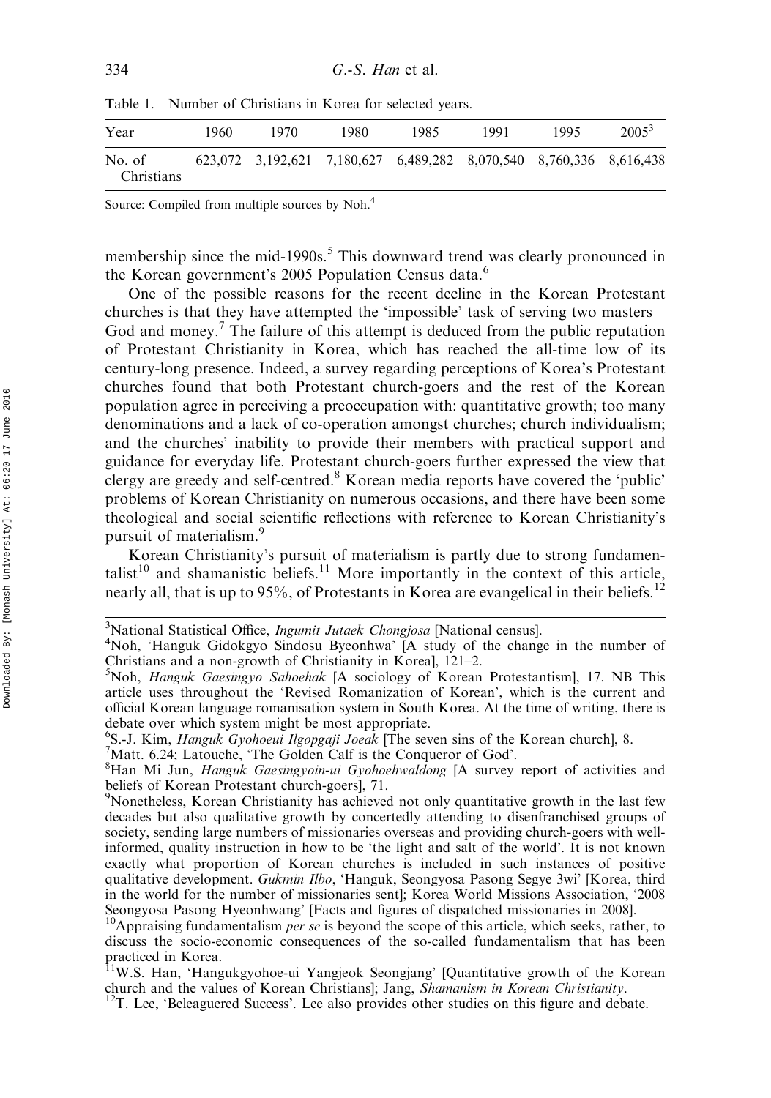| Year                 | 1960. | 1970 | 1980. | 1985 | 1991 | 1995                                                                | $2005^3$ |
|----------------------|-------|------|-------|------|------|---------------------------------------------------------------------|----------|
| No. of<br>Christians |       |      |       |      |      | 623,072 3,192,621 7,180,627 6,489,282 8,070,540 8,760,336 8,616,438 |          |

Table 1. Number of Christians in Korea for selected years.

Source: Compiled from multiple sources by Noh.<sup>4</sup>

membership since the mid-1990s.<sup>5</sup> This downward trend was clearly pronounced in the Korean government's 2005 Population Census data.<sup>6</sup>

One of the possible reasons for the recent decline in the Korean Protestant churches is that they have attempted the 'impossible' task of serving two masters – God and money.<sup>7</sup> The failure of this attempt is deduced from the public reputation of Protestant Christianity in Korea, which has reached the all-time low of its century-long presence. Indeed, a survey regarding perceptions of Korea's Protestant churches found that both Protestant church-goers and the rest of the Korean population agree in perceiving a preoccupation with: quantitative growth; too many denominations and a lack of co-operation amongst churches; church individualism; and the churches' inability to provide their members with practical support and guidance for everyday life. Protestant church-goers further expressed the view that clergy are greedy and self-centred.<sup>8</sup> Korean media reports have covered the 'public' problems of Korean Christianity on numerous occasions, and there have been some theological and social scientific reflections with reference to Korean Christianity's pursuit of materialism.<sup>9</sup>

Korean Christianity's pursuit of materialism is partly due to strong fundamentalist<sup>10</sup> and shamanistic beliefs.<sup>11</sup> More importantly in the context of this article, nearly all, that is up to 95%, of Protestants in Korea are evangelical in their beliefs.<sup>12</sup>

<sup>6</sup>S.-J. Kim, *Hanguk Gyohoeui Ilgopgaji Joeak* [The seven sins of the Korean church], 8.<br><sup>7</sup>Matt 6.24: Latouche, 'The Golden Calf is the Conquerar of God'.

 $<sup>7</sup>$ Matt. 6.24; Latouche, 'The Golden Calf is the Conqueror of God'.</sup>

<sup>&</sup>lt;sup>3</sup>National Statistical Office, *Ingumit Jutaek Chongjosa* [National census].<br><sup>4</sup>Nob. 'Hanguk Gidokovo Sindosu Byeophya' [A study of the chang

Noh, 'Hanguk Gidokgyo Sindosu Byeonhwa' [A study of the change in the number of Christians and a non-growth of Christianity in Korea], 121–2.

<sup>&</sup>lt;sup>5</sup>Noh, Hanguk Gaesingyo Sahoehak [A sociology of Korean Protestantism], 17. NB This article uses throughout the 'Revised Romanization of Korean', which is the current and official Korean language romanisation system in South Korea. At the time of writing, there is debate over which system might be most appropriate.

<sup>&</sup>lt;sup>8</sup>Han Mi Jun, *Hanguk Gaesingyoin-ui Gyohoehwaldong* [A survey report of activities and beliefs of Korean Protestant church-goers], 71.

<sup>&</sup>lt;sup>9</sup>Nonetheless, Korean Christianity has achieved not only quantitative growth in the last few decades but also qualitative growth by concertedly attending to disenfranchised groups of society, sending large numbers of missionaries overseas and providing church-goers with wellinformed, quality instruction in how to be 'the light and salt of the world'. It is not known exactly what proportion of Korean churches is included in such instances of positive qualitative development. Gukmin Ilbo, 'Hanguk, Seongyosa Pasong Segye 3wi' [Korea, third in the world for the number of missionaries sent]; Korea World Missions Association, '2008 Seongyosa Pasong Hyeonhwang' [Facts and figures of dispatched missionaries in 2008].

<sup>&</sup>lt;sup>10</sup>Appraising fundamentalism *per se* is beyond the scope of this article, which seeks, rather, to discuss the socio-economic consequences of the so-called fundamentalism that has been practiced in Korea.<br><sup>11</sup>W.S. Han, 'Hangukgyohoe-ui Yangjeok Seongjang' [Quantitative growth of the Korean

church and the values of Korean Christians]; Jang, *Shamanism in Korean Christianity*. <sup>12</sup>T. Lee, 'Beleaguered Success'. Lee also provides other studies on this figure and debate.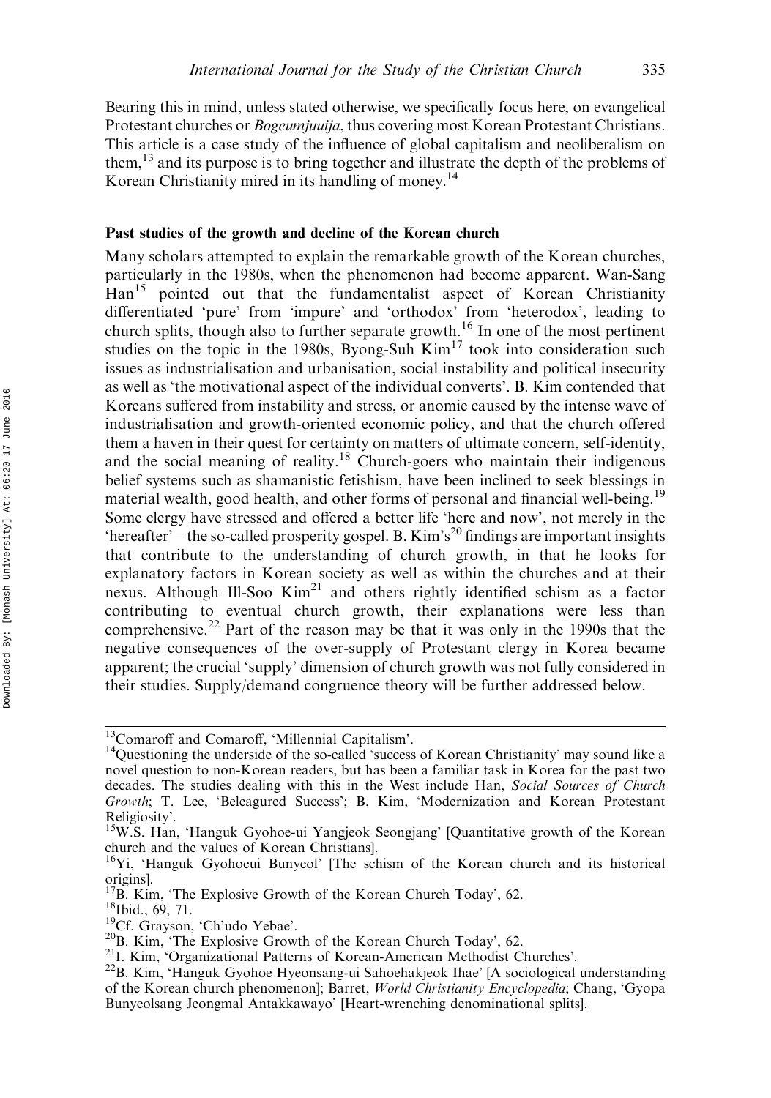Bearing this in mind, unless stated otherwise, we specifically focus here, on evangelical Protestant churches or *Bogeumjuuija*, thus covering most Korean Protestant Christians. This article is a case study of the influence of global capitalism and neoliberalism on them,  $^{13}$  and its purpose is to bring together and illustrate the depth of the problems of Korean Christianity mired in its handling of money.<sup>14</sup>

#### Past studies of the growth and decline of the Korean church

Many scholars attempted to explain the remarkable growth of the Korean churches, particularly in the 1980s, when the phenomenon had become apparent. Wan-Sang Han<sup>15</sup> pointed out that the fundamentalist aspect of Korean Christianity differentiated 'pure' from 'impure' and 'orthodox' from 'heterodox', leading to church splits, though also to further separate growth.<sup>16</sup> In one of the most pertinent studies on the topic in the 1980s, Byong-Suh  $Kim<sup>17</sup>$  took into consideration such issues as industrialisation and urbanisation, social instability and political insecurity as well as 'the motivational aspect of the individual converts'. B. Kim contended that Koreans suffered from instability and stress, or anomie caused by the intense wave of industrialisation and growth-oriented economic policy, and that the church offered them a haven in their quest for certainty on matters of ultimate concern, self-identity, and the social meaning of reality.<sup>18</sup> Church-goers who maintain their indigenous belief systems such as shamanistic fetishism, have been inclined to seek blessings in material wealth, good health, and other forms of personal and financial well-being.<sup>19</sup> Some clergy have stressed and offered a better life 'here and now', not merely in the 'hereafter' – the so-called prosperity gospel. B. Kim's<sup>20</sup> findings are important insights that contribute to the understanding of church growth, in that he looks for explanatory factors in Korean society as well as within the churches and at their nexus. Although Ill-Soo Kim<sup>21</sup> and others rightly identified schism as a factor contributing to eventual church growth, their explanations were less than comprehensive.<sup>22</sup> Part of the reason may be that it was only in the 1990s that the negative consequences of the over-supply of Protestant clergy in Korea became apparent; the crucial 'supply' dimension of church growth was not fully considered in their studies. Supply/demand congruence theory will be further addressed below.

<sup>&</sup>lt;sup>13</sup>Comaroff and Comaroff, 'Millennial Capitalism'.<br><sup>14</sup>Questioning the underside of the so-called 'success of Korean Christianity' may sound like a novel question to non-Korean readers, but has been a familiar task in Korea for the past two decades. The studies dealing with this in the West include Han, Social Sources of Church Growth; T. Lee, 'Beleagured Success'; B. Kim, 'Modernization and Korean Protestant Religiosity'.

<sup>&</sup>lt;sup>15</sup>W.S. Han, 'Hanguk Gyohoe-ui Yangjeok Seongjang' [Quantitative growth of the Korean church and the values of Korean Christians].

<sup>&</sup>lt;sup>16</sup>Yi, 'Hanguk Gyohoeui Bunyeol' [The schism of the Korean church and its historical origins].<br><sup>17</sup>B. Kim, 'The Explosive Growth of the Korean Church Today', 62.

<sup>&</sup>lt;sup>18</sup>Ibid., 69, 71.<br><sup>19</sup>Cf. Grayson, 'Ch'udo Yebae'.<br><sup>20</sup>B. Kim, 'The Explosive Growth of the Korean Church Today', 62.<br><sup>21</sup>I. Kim, 'Organizational Patterns of Korean-American Methodist Churches'.<br><sup>22</sup>B. Kim, 'Hanguk Gyoho of the Korean church phenomenon]; Barret, World Christianity Encyclopedia; Chang, 'Gyopa Bunyeolsang Jeongmal Antakkawayo' [Heart-wrenching denominational splits].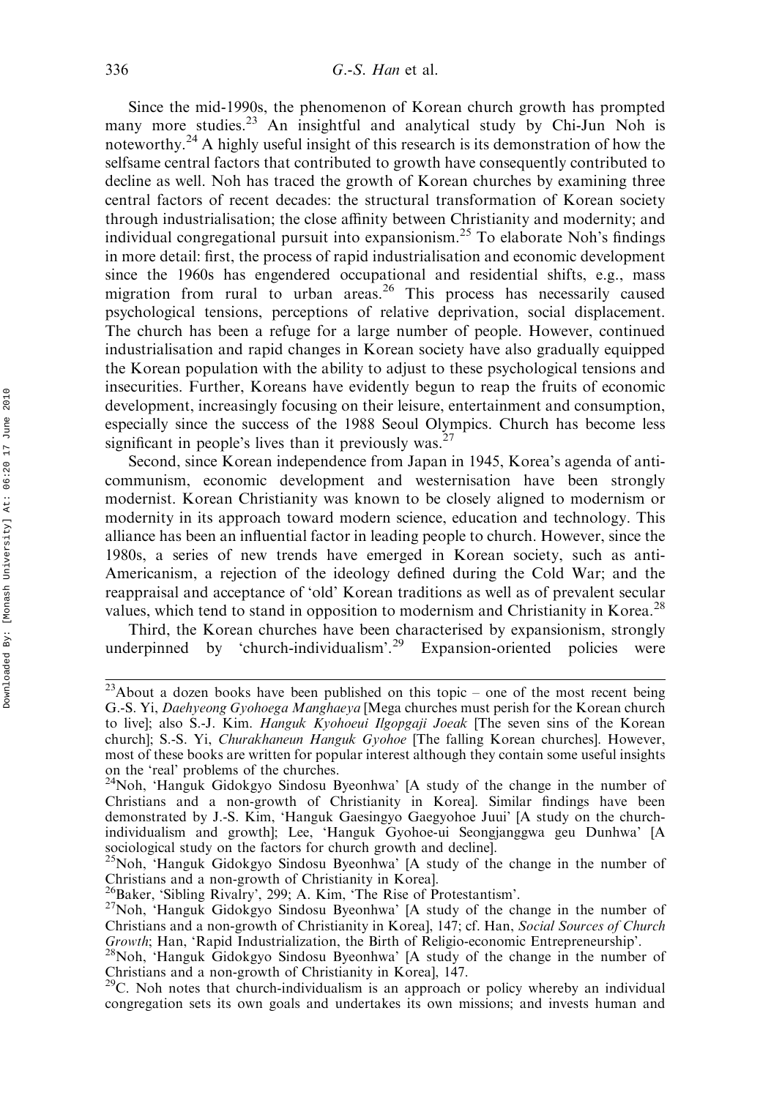Since the mid-1990s, the phenomenon of Korean church growth has prompted many more studies.<sup>23</sup> An insightful and analytical study by Chi-Jun Noh is noteworthy.<sup>24</sup> A highly useful insight of this research is its demonstration of how the selfsame central factors that contributed to growth have consequently contributed to decline as well. Noh has traced the growth of Korean churches by examining three central factors of recent decades: the structural transformation of Korean society through industrialisation; the close affinity between Christianity and modernity; and individual congregational pursuit into expansionism.<sup>25</sup> To elaborate Noh's findings in more detail: first, the process of rapid industrialisation and economic development since the 1960s has engendered occupational and residential shifts, e.g., mass migration from rural to urban areas.<sup>26</sup> This process has necessarily caused psychological tensions, perceptions of relative deprivation, social displacement. The church has been a refuge for a large number of people. However, continued industrialisation and rapid changes in Korean society have also gradually equipped the Korean population with the ability to adjust to these psychological tensions and insecurities. Further, Koreans have evidently begun to reap the fruits of economic development, increasingly focusing on their leisure, entertainment and consumption, especially since the success of the 1988 Seoul Olympics. Church has become less significant in people's lives than it previously was. $27$ 

Second, since Korean independence from Japan in 1945, Korea's agenda of anticommunism, economic development and westernisation have been strongly modernist. Korean Christianity was known to be closely aligned to modernism or modernity in its approach toward modern science, education and technology. This alliance has been an influential factor in leading people to church. However, since the 1980s, a series of new trends have emerged in Korean society, such as anti-Americanism, a rejection of the ideology defined during the Cold War; and the reappraisal and acceptance of 'old' Korean traditions as well as of prevalent secular values, which tend to stand in opposition to modernism and Christianity in Korea.<sup>28</sup>

Third, the Korean churches have been characterised by expansionism, strongly underpinned by 'church-individualism'.<sup>29</sup> Expansion-oriented policies were

 $23$ About a dozen books have been published on this topic – one of the most recent being G.-S. Yi, Daehyeong Gyohoega Manghaeya [Mega churches must perish for the Korean church to livel; also S.-J. Kim. *Hanguk Kyohoeui Ilgopgaji Joeak* [The seven sins of the Korean church]; S.-S. Yi, Churakhaneun Hanguk Gyohoe [The falling Korean churches]. However, most of these books are written for popular interest although they contain some useful insights on the 'real' problems of the churches.

 $^{24}$ Noh, 'Hanguk Gidokgyo Sindosu Byeonhwa' [A study of the change in the number of Christians and a non-growth of Christianity in Korea]. Similar findings have been demonstrated by J.-S. Kim, 'Hanguk Gaesingyo Gaegyohoe Juui' [A study on the churchindividualism and growth]; Lee, 'Hanguk Gyohoe-ui Seongjanggwa geu Dunhwa' [A sociological study on the factors for church growth and decline].

<sup>&</sup>lt;sup>25</sup>Noh, 'Hanguk Gidokgyo Sindosu Byeonhwa' [A study of the change in the number of Christians and a non-growth of Christianity in Korea].<br><sup>26</sup>Baker, 'Sibling Rivalry', 299; A. Kim, 'The Rise of Protestantism'.

 $27$ Noh, 'Hanguk Gidokgyo Sindosu Byeonhwa' [A study of the change in the number of Christians and a non-growth of Christianity in Korea], 147; cf. Han, Social Sources of Church

Growth; Han, 'Rapid Industrialization, the Birth of Religio-economic Entrepreneurship'.<br><sup>28</sup>Noh, 'Hanguk Gidokgyo Sindosu Byeonhwa' [A study of the change in the number of Christians and a non-growth of Christianity in Korea], 147.

<sup>&</sup>lt;sup>29</sup>C. Noh notes that church-individualism is an approach or policy whereby an individual congregation sets its own goals and undertakes its own missions; and invests human and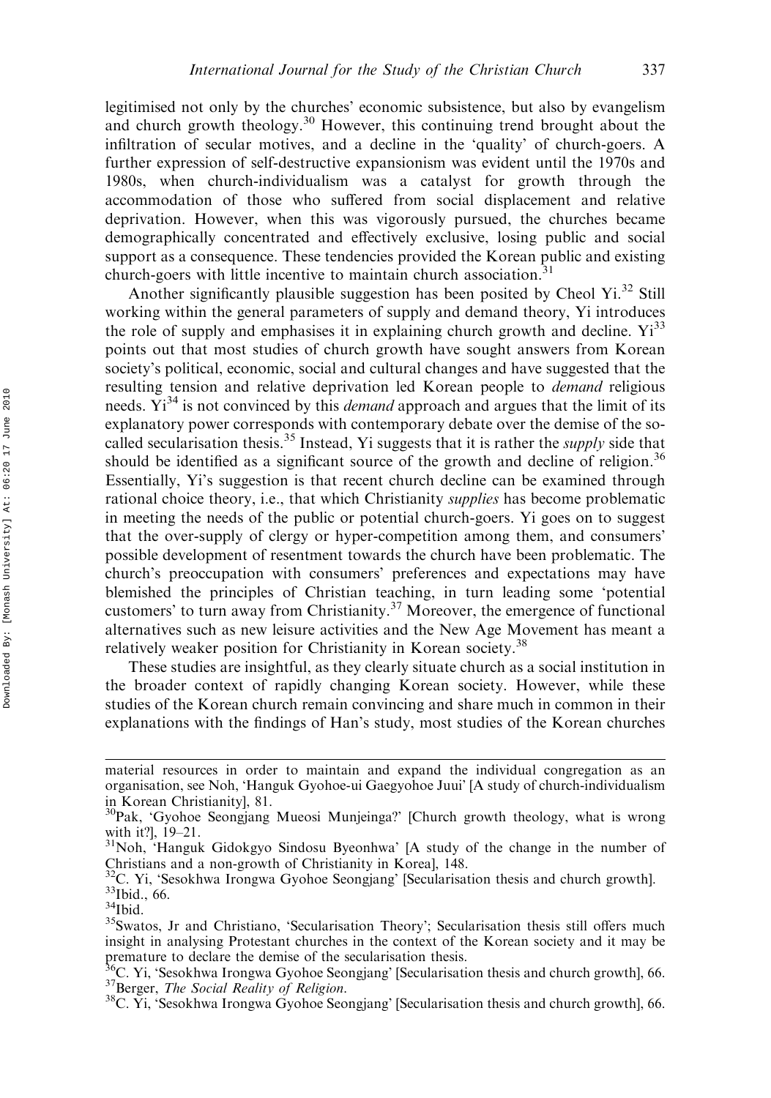legitimised not only by the churches' economic subsistence, but also by evangelism and church growth theology.<sup>30</sup> However, this continuing trend brought about the infiltration of secular motives, and a decline in the 'quality' of church-goers. A further expression of self-destructive expansionism was evident until the 1970s and 1980s, when church-individualism was a catalyst for growth through the accommodation of those who suffered from social displacement and relative deprivation. However, when this was vigorously pursued, the churches became demographically concentrated and effectively exclusive, losing public and social support as a consequence. These tendencies provided the Korean public and existing church-goers with little incentive to maintain church association.<sup>31</sup>

Another significantly plausible suggestion has been posited by Cheol Yi.<sup>32</sup> Still working within the general parameters of supply and demand theory, Yi introduces the role of supply and emphasises it in explaining church growth and decline.  $Y_1^{33}$ points out that most studies of church growth have sought answers from Korean society's political, economic, social and cultural changes and have suggested that the resulting tension and relative deprivation led Korean people to *demand* religious needs.  $Yi^{34}$  is not convinced by this *demand* approach and argues that the limit of its explanatory power corresponds with contemporary debate over the demise of the socalled secularisation thesis.<sup>35</sup> Instead, Yi suggests that it is rather the *supply* side that should be identified as a significant source of the growth and decline of religion.<sup>36</sup> Essentially, Yi's suggestion is that recent church decline can be examined through rational choice theory, i.e., that which Christianity *supplies* has become problematic in meeting the needs of the public or potential church-goers. Yi goes on to suggest that the over-supply of clergy or hyper-competition among them, and consumers' possible development of resentment towards the church have been problematic. The church's preoccupation with consumers' preferences and expectations may have blemished the principles of Christian teaching, in turn leading some 'potential customers' to turn away from Christianity.<sup>37</sup> Moreover, the emergence of functional alternatives such as new leisure activities and the New Age Movement has meant a relatively weaker position for Christianity in Korean society.<sup>38</sup>

These studies are insightful, as they clearly situate church as a social institution in the broader context of rapidly changing Korean society. However, while these studies of the Korean church remain convincing and share much in common in their explanations with the findings of Han's study, most studies of the Korean churches

material resources in order to maintain and expand the individual congregation as an organisation, see Noh, 'Hanguk Gyohoe-ui Gaegyohoe Juui' [A study of church-individualism in Korean Christianity], 81.

<sup>&</sup>lt;sup>30</sup>Pak, 'Gyohoe Seongjang Mueosi Munjeinga?' [Church growth theology, what is wrong with it?], 19–21.

 $31$ Noh, 'Hanguk Gidokgyo Sindosu Byeonhwa' [A study of the change in the number of Christians and a non-growth of Christianity in Korea], 148.

<sup>&</sup>lt;sup>32</sup>C. Yi, 'Sesokhwa Irongwa Gyohoe Seongjang' [Secularisation thesis and church growth].<br><sup>33</sup>Ibid., 66. 34Ibid. 35Swatos, Jr and Christiano, 'Secularisation Theory'; Secularisation thesis still offers much

insight in analysing Protestant churches in the context of the Korean society and it may be

premature to declare the demise of the secularisation thesis.<br><sup>36</sup>C. Yi, 'Sesokhwa Irongwa Gyohoe Seongjang' [Secularisation thesis and church growth], 66.<br><sup>37</sup>Berger, *The Social Reality of Religion*.<br><sup>38</sup>C. Yi, 'Sesokhwa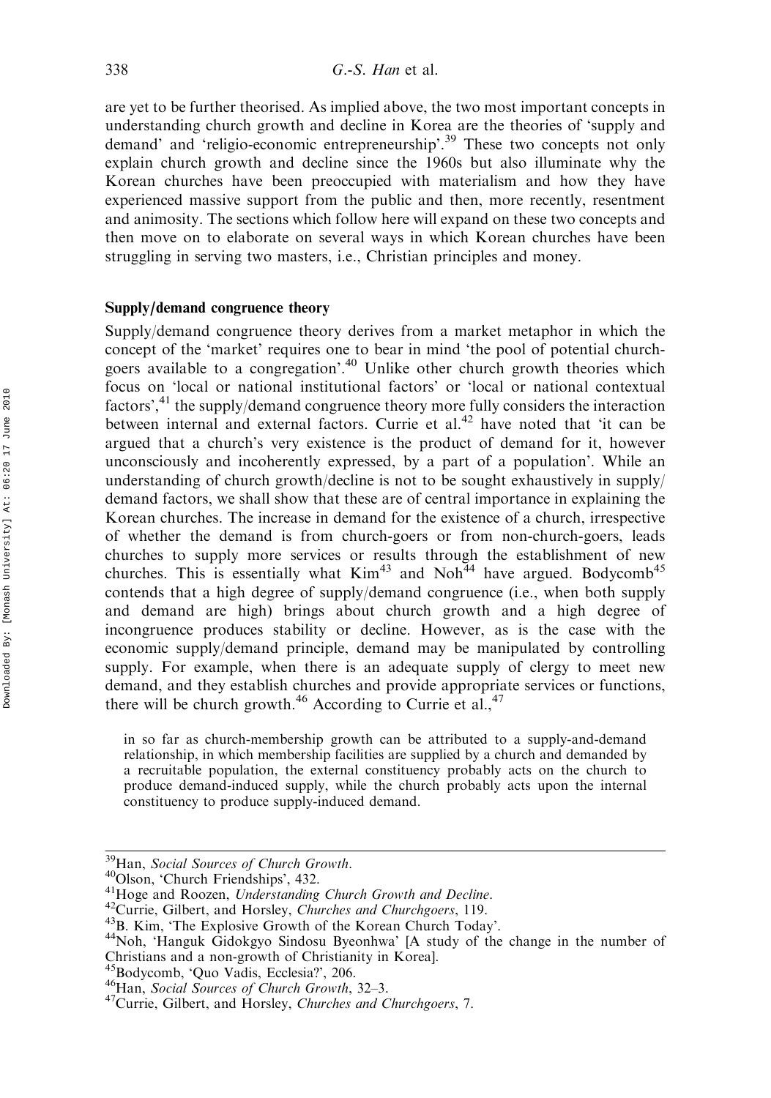are yet to be further theorised. As implied above, the two most important concepts in understanding church growth and decline in Korea are the theories of 'supply and demand' and 'religio-economic entrepreneurship'.<sup>39</sup> These two concepts not only explain church growth and decline since the 1960s but also illuminate why the Korean churches have been preoccupied with materialism and how they have experienced massive support from the public and then, more recently, resentment and animosity. The sections which follow here will expand on these two concepts and then move on to elaborate on several ways in which Korean churches have been struggling in serving two masters, i.e., Christian principles and money.

# Supply/demand congruence theory

Supply/demand congruence theory derives from a market metaphor in which the concept of the 'market' requires one to bear in mind 'the pool of potential churchgoers available to a congregation'.<sup>40</sup> Unlike other church growth theories which focus on 'local or national institutional factors' or 'local or national contextual factors',<sup>41</sup> the supply/demand congruence theory more fully considers the interaction between internal and external factors. Currie et al.<sup>42</sup> have noted that 'it can be argued that a church's very existence is the product of demand for it, however unconsciously and incoherently expressed, by a part of a population'. While an understanding of church growth/decline is not to be sought exhaustively in supply/ demand factors, we shall show that these are of central importance in explaining the Korean churches. The increase in demand for the existence of a church, irrespective of whether the demand is from church-goers or from non-church-goers, leads churches to supply more services or results through the establishment of new churches. This is essentially what  $\text{Kim}^{43}$  and  $\text{Noh}^{44}$  have argued. Bodycomb<sup>45</sup> contends that a high degree of supply/demand congruence (i.e., when both supply and demand are high) brings about church growth and a high degree of incongruence produces stability or decline. However, as is the case with the economic supply/demand principle, demand may be manipulated by controlling supply. For example, when there is an adequate supply of clergy to meet new demand, and they establish churches and provide appropriate services or functions, there will be church growth.<sup>46</sup> According to Currie et al.,<sup>47</sup>

in so far as church-membership growth can be attributed to a supply-and-demand relationship, in which membership facilities are supplied by a church and demanded by a recruitable population, the external constituency probably acts on the church to produce demand-induced supply, while the church probably acts upon the internal constituency to produce supply-induced demand.

<sup>&</sup>lt;sup>39</sup>Han, *Social Sources of Church Growth.*<br><sup>40</sup>Olson, 'Church Friendships', 432.<br><sup>41</sup>Hoge and Roozen, *Understanding Church Growth and Decline*.<br><sup>42</sup>Currie, Gilbert, and Horsley, *Churches and Churchgoers*, 119.<br><sup>43</sup>B. Ki Christians and a non-growth of Christianity in Korea].

<sup>&</sup>lt;sup>46</sup>Han, *Social Sources of Church Growth*, 32–3.  $47$ Currie, Gilbert, and Horsley, Churches and Churchgoers, 7.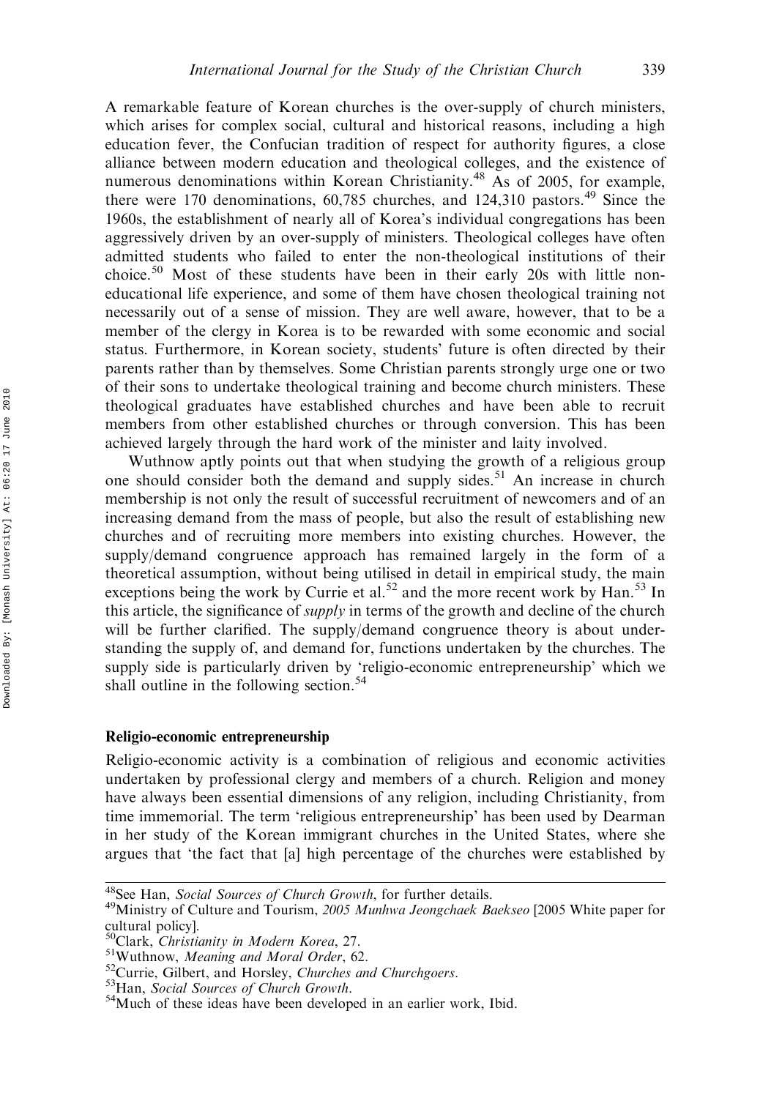A remarkable feature of Korean churches is the over-supply of church ministers, which arises for complex social, cultural and historical reasons, including a high education fever, the Confucian tradition of respect for authority figures, a close alliance between modern education and theological colleges, and the existence of numerous denominations within Korean Christianity.<sup>48</sup> As of 2005, for example, there were 170 denominations,  $60.785$  churches, and 124,310 pastors.<sup>49</sup> Since the 1960s, the establishment of nearly all of Korea's individual congregations has been aggressively driven by an over-supply of ministers. Theological colleges have often admitted students who failed to enter the non-theological institutions of their choice.<sup>50</sup> Most of these students have been in their early 20s with little noneducational life experience, and some of them have chosen theological training not necessarily out of a sense of mission. They are well aware, however, that to be a member of the clergy in Korea is to be rewarded with some economic and social status. Furthermore, in Korean society, students' future is often directed by their parents rather than by themselves. Some Christian parents strongly urge one or two of their sons to undertake theological training and become church ministers. These theological graduates have established churches and have been able to recruit members from other established churches or through conversion. This has been achieved largely through the hard work of the minister and laity involved.

Wuthnow aptly points out that when studying the growth of a religious group one should consider both the demand and supply sides.<sup>51</sup> An increase in church membership is not only the result of successful recruitment of newcomers and of an increasing demand from the mass of people, but also the result of establishing new churches and of recruiting more members into existing churches. However, the supply/demand congruence approach has remained largely in the form of a theoretical assumption, without being utilised in detail in empirical study, the main exceptions being the work by Currie et al.<sup>52</sup> and the more recent work by Han.<sup>53</sup> In this article, the significance of *supply* in terms of the growth and decline of the church will be further clarified. The supply/demand congruence theory is about understanding the supply of, and demand for, functions undertaken by the churches. The supply side is particularly driven by 'religio-economic entrepreneurship' which we shall outline in the following section.<sup>54</sup>

#### Religio-economic entrepreneurship

Religio-economic activity is a combination of religious and economic activities undertaken by professional clergy and members of a church. Religion and money have always been essential dimensions of any religion, including Christianity, from time immemorial. The term 'religious entrepreneurship' has been used by Dearman in her study of the Korean immigrant churches in the United States, where she argues that 'the fact that [a] high percentage of the churches were established by

<sup>&</sup>lt;sup>48</sup>See Han, Social Sources of Church Growth, for further details.<br><sup>49</sup>Ministry of Culture and Tourism, 2005 Munhwa Jeongchaek Baekseo [2005 White paper for cultural policy].<br><sup>50</sup>Clark, *Christianity in Modern Korea*, 27.

<sup>&</sup>lt;sup>51</sup>Wuthnow, *Meaning and Moral Order*, 62.<br><sup>52</sup>Currie, Gilbert, and Horsley, *Churches and Churchgoers*.<br><sup>53</sup>Han, *Social Sources of Church Growth*.<br><sup>54</sup>Much of these ideas have been developed in an earlier work, Ibid.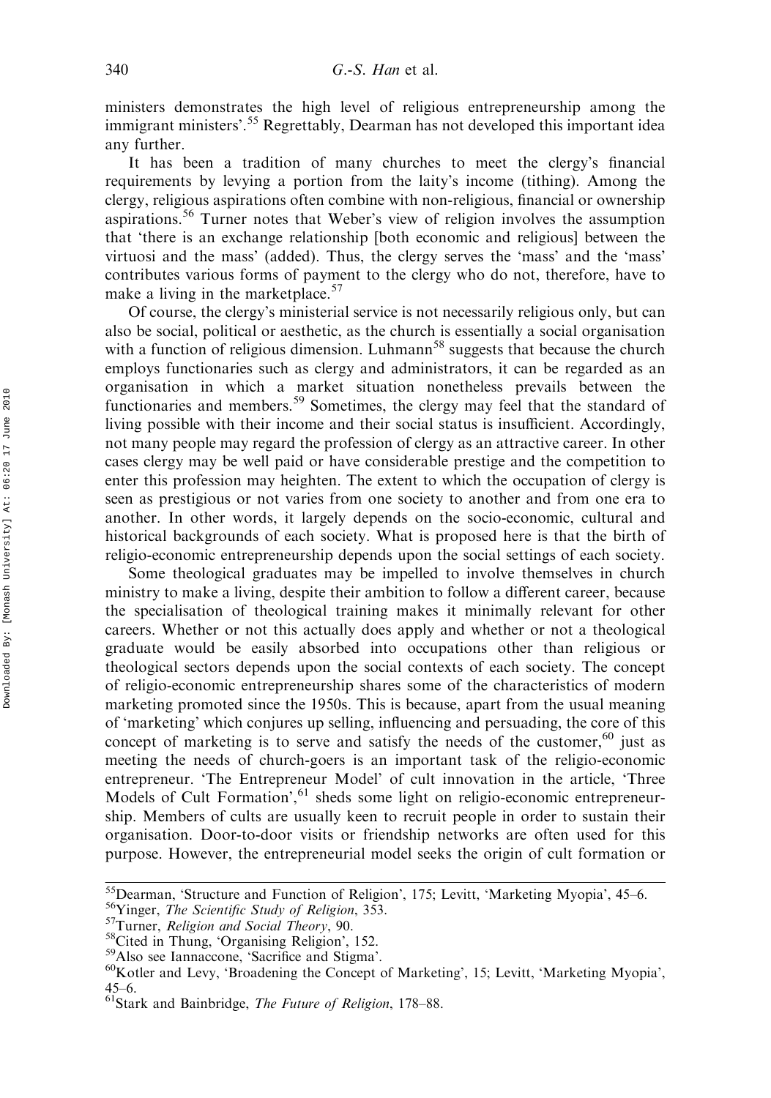ministers demonstrates the high level of religious entrepreneurship among the immigrant ministers'.<sup>55</sup> Regrettably, Dearman has not developed this important idea any further.

It has been a tradition of many churches to meet the clergy's financial requirements by levying a portion from the laity's income (tithing). Among the clergy, religious aspirations often combine with non-religious, financial or ownership aspirations.<sup>56</sup> Turner notes that Weber's view of religion involves the assumption that 'there is an exchange relationship [both economic and religious] between the virtuosi and the mass' (added). Thus, the clergy serves the 'mass' and the 'mass' contributes various forms of payment to the clergy who do not, therefore, have to make a living in the marketplace.<sup>57</sup>

Of course, the clergy's ministerial service is not necessarily religious only, but can also be social, political or aesthetic, as the church is essentially a social organisation with a function of religious dimension. Luhmann<sup>58</sup> suggests that because the church employs functionaries such as clergy and administrators, it can be regarded as an organisation in which a market situation nonetheless prevails between the functionaries and members.<sup>59</sup> Sometimes, the clergy may feel that the standard of living possible with their income and their social status is insufficient. Accordingly, not many people may regard the profession of clergy as an attractive career. In other cases clergy may be well paid or have considerable prestige and the competition to enter this profession may heighten. The extent to which the occupation of clergy is seen as prestigious or not varies from one society to another and from one era to another. In other words, it largely depends on the socio-economic, cultural and historical backgrounds of each society. What is proposed here is that the birth of religio-economic entrepreneurship depends upon the social settings of each society.

Some theological graduates may be impelled to involve themselves in church ministry to make a living, despite their ambition to follow a different career, because the specialisation of theological training makes it minimally relevant for other careers. Whether or not this actually does apply and whether or not a theological graduate would be easily absorbed into occupations other than religious or theological sectors depends upon the social contexts of each society. The concept of religio-economic entrepreneurship shares some of the characteristics of modern marketing promoted since the 1950s. This is because, apart from the usual meaning of 'marketing' which conjures up selling, influencing and persuading, the core of this concept of marketing is to serve and satisfy the needs of the customer,  $60$  just as meeting the needs of church-goers is an important task of the religio-economic entrepreneur. 'The Entrepreneur Model' of cult innovation in the article, 'Three Models of Cult Formation', <sup>61</sup> sheds some light on religio-economic entrepreneurship. Members of cults are usually keen to recruit people in order to sustain their organisation. Door-to-door visits or friendship networks are often used for this purpose. However, the entrepreneurial model seeks the origin of cult formation or

<sup>&</sup>lt;sup>55</sup>Dearman, 'Structure and Function of Religion', 175; Levitt, 'Marketing Myopia', 45–6.<br><sup>56</sup>Yinger, *The Scientific Study of Religion*, 353.<br><sup>57</sup>Turner, *Religion and Social Theory*, 90.<br><sup>58</sup>Cited in Thung, 'Organising 45–6.

 $61$ Stark and Bainbridge, The Future of Religion, 178-88.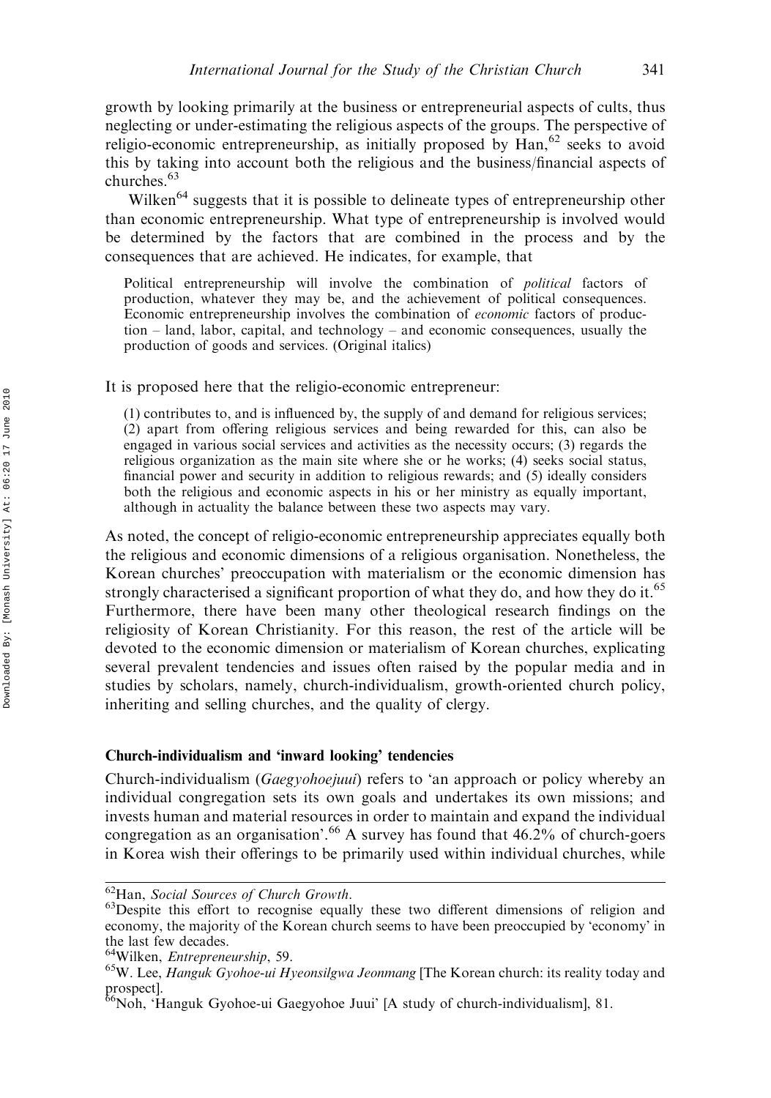growth by looking primarily at the business or entrepreneurial aspects of cults, thus neglecting or under-estimating the religious aspects of the groups. The perspective of religio-economic entrepreneurship, as initially proposed by  $\text{Han}$ <sup>62</sup> seeks to avoid this by taking into account both the religious and the business/financial aspects of churches.<sup>63</sup>

Wilken<sup>64</sup> suggests that it is possible to delineate types of entrepreneurship other than economic entrepreneurship. What type of entrepreneurship is involved would be determined by the factors that are combined in the process and by the consequences that are achieved. He indicates, for example, that

Political entrepreneurship will involve the combination of political factors of production, whatever they may be, and the achievement of political consequences. Economic entrepreneurship involves the combination of economic factors of production – land, labor, capital, and technology – and economic consequences, usually the production of goods and services. (Original italics)

It is proposed here that the religio-economic entrepreneur:

(1) contributes to, and is influenced by, the supply of and demand for religious services; (2) apart from offering religious services and being rewarded for this, can also be engaged in various social services and activities as the necessity occurs; (3) regards the religious organization as the main site where she or he works; (4) seeks social status, financial power and security in addition to religious rewards; and (5) ideally considers both the religious and economic aspects in his or her ministry as equally important, although in actuality the balance between these two aspects may vary.

As noted, the concept of religio-economic entrepreneurship appreciates equally both the religious and economic dimensions of a religious organisation. Nonetheless, the Korean churches' preoccupation with materialism or the economic dimension has strongly characterised a significant proportion of what they do, and how they do it.<sup>65</sup> Furthermore, there have been many other theological research findings on the religiosity of Korean Christianity. For this reason, the rest of the article will be devoted to the economic dimension or materialism of Korean churches, explicating several prevalent tendencies and issues often raised by the popular media and in studies by scholars, namely, church-individualism, growth-oriented church policy, inheriting and selling churches, and the quality of clergy.

## Church-individualism and 'inward looking' tendencies

Church-individualism (Gaegyohoejuui) refers to 'an approach or policy whereby an individual congregation sets its own goals and undertakes its own missions; and invests human and material resources in order to maintain and expand the individual congregation as an organisation'.<sup>66</sup> A survey has found that  $46.2\%$  of church-goers in Korea wish their offerings to be primarily used within individual churches, while

<sup>&</sup>lt;sup>62</sup>Han, *Social Sources of Church Growth*.<br><sup>63</sup>Despite this effort to recognise equally these two different dimensions of religion and economy, the majority of the Korean church seems to have been preoccupied by 'economy' in the last few decades.<br><sup>64</sup>Wilken, *Entrepreneurship*, 59.

 $65W$ . Lee, Hanguk Gyohoe-ui Hyeonsilgwa Jeonmang [The Korean church: its reality today and prospect].<br><sup>66</sup>Noh, 'Hanguk Gyohoe-ui Gaegyohoe Juui' [A study of church-individualism], 81.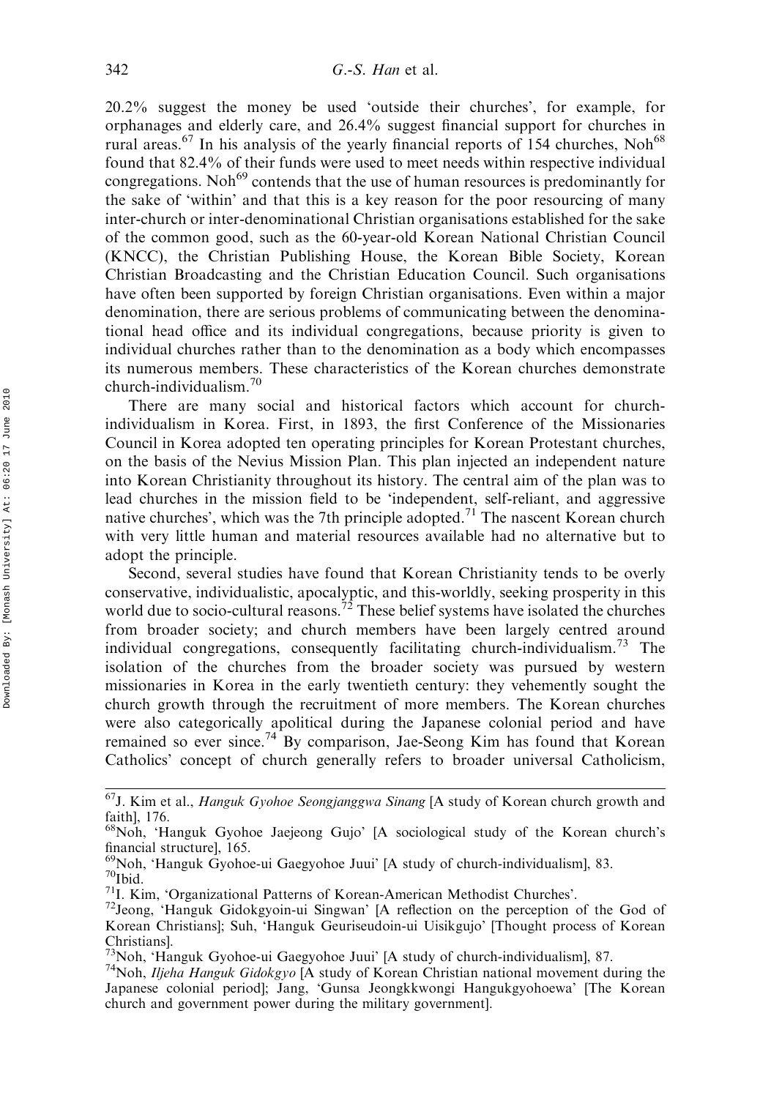20.2% suggest the money be used 'outside their churches', for example, for orphanages and elderly care, and 26.4% suggest financial support for churches in rural areas.<sup>67</sup> In his analysis of the yearly financial reports of 154 churches, Noh<sup>68</sup> found that 82.4% of their funds were used to meet needs within respective individual congregations. Noh<sup>69</sup> contends that the use of human resources is predominantly for the sake of 'within' and that this is a key reason for the poor resourcing of many inter-church or inter-denominational Christian organisations established for the sake of the common good, such as the 60-year-old Korean National Christian Council (KNCC), the Christian Publishing House, the Korean Bible Society, Korean Christian Broadcasting and the Christian Education Council. Such organisations have often been supported by foreign Christian organisations. Even within a major denomination, there are serious problems of communicating between the denominational head office and its individual congregations, because priority is given to individual churches rather than to the denomination as a body which encompasses its numerous members. These characteristics of the Korean churches demonstrate church-individualism.<sup>70</sup>

There are many social and historical factors which account for churchindividualism in Korea. First, in 1893, the first Conference of the Missionaries Council in Korea adopted ten operating principles for Korean Protestant churches, on the basis of the Nevius Mission Plan. This plan injected an independent nature into Korean Christianity throughout its history. The central aim of the plan was to lead churches in the mission field to be 'independent, self-reliant, and aggressive native churches', which was the 7th principle adopted.<sup>71</sup> The nascent Korean church with very little human and material resources available had no alternative but to adopt the principle.

Second, several studies have found that Korean Christianity tends to be overly conservative, individualistic, apocalyptic, and this-worldly, seeking prosperity in this world due to socio-cultural reasons.<sup>72</sup> These belief systems have isolated the churches from broader society; and church members have been largely centred around individual congregations, consequently facilitating church-individualism.<sup>73</sup> The isolation of the churches from the broader society was pursued by western missionaries in Korea in the early twentieth century: they vehemently sought the church growth through the recruitment of more members. The Korean churches were also categorically apolitical during the Japanese colonial period and have remained so ever since.<sup>74</sup> By comparison, Jae-Seong Kim has found that Korean Catholics' concept of church generally refers to broader universal Catholicism,

<sup>&</sup>lt;sup>67</sup>J. Kim et al., *Hanguk Gyohoe Seongjanggwa Sinang* [A study of Korean church growth and faith], 176.

<sup>68</sup>Noh, 'Hanguk Gyohoe Jaejeong Gujo' [A sociological study of the Korean church's financial structure], 165.

<sup>&</sup>lt;sup>69</sup>Noh, 'Hanguk Gyohoe-ui Gaegyohoe Juui' [A study of church-individualism], 83.<br><sup>70</sup>Ibid.<br><sup>71</sup>I. Kim, 'Organizational Patterns of Korean-American Methodist Churches'.<br><sup>72</sup>Jeong, 'Hanguk Gidokgyoin-ui Singwan' [A reflect

Korean Christians]; Suh, 'Hanguk Geuriseudoin-ui Uisikgujo' [Thought process of Korean Christians].<br><sup>73</sup>Noh, 'Hanguk Gyohoe-ui Gaegyohoe Juui' [A study of church-individualism], 87.

<sup>&</sup>lt;sup>74</sup>Noh, Iljeha Hanguk Gidokgyo [A study of Korean Christian national movement during the Japanese colonial period]; Jang, 'Gunsa Jeongkkwongi Hangukgyohoewa' [The Korean church and government power during the military government].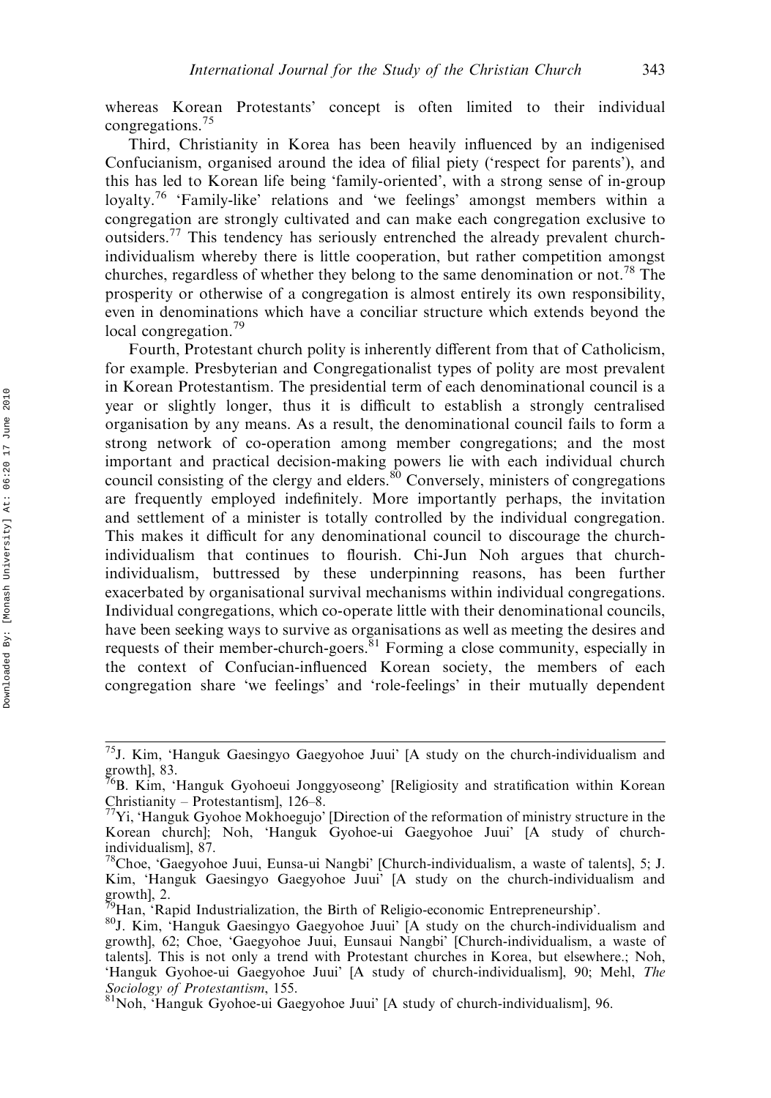whereas Korean Protestants' concept is often limited to their individual congregations.<sup>75</sup>

Third, Christianity in Korea has been heavily influenced by an indigenised Confucianism, organised around the idea of filial piety ('respect for parents'), and this has led to Korean life being 'family-oriented', with a strong sense of in-group loyalty.<sup>76</sup> 'Family-like' relations and 'we feelings' amongst members within a congregation are strongly cultivated and can make each congregation exclusive to outsiders.<sup>77</sup> This tendency has seriously entrenched the already prevalent churchindividualism whereby there is little cooperation, but rather competition amongst churches, regardless of whether they belong to the same denomination or not.<sup>78</sup> The prosperity or otherwise of a congregation is almost entirely its own responsibility, even in denominations which have a conciliar structure which extends beyond the local congregation.<sup>79</sup>

Fourth, Protestant church polity is inherently different from that of Catholicism, for example. Presbyterian and Congregationalist types of polity are most prevalent in Korean Protestantism. The presidential term of each denominational council is a year or slightly longer, thus it is difficult to establish a strongly centralised organisation by any means. As a result, the denominational council fails to form a strong network of co-operation among member congregations; and the most important and practical decision-making powers lie with each individual church council consisting of the clergy and elders.<sup>80</sup> Conversely, ministers of congregations are frequently employed indefinitely. More importantly perhaps, the invitation and settlement of a minister is totally controlled by the individual congregation. This makes it difficult for any denominational council to discourage the churchindividualism that continues to flourish. Chi-Jun Noh argues that churchindividualism, buttressed by these underpinning reasons, has been further exacerbated by organisational survival mechanisms within individual congregations. Individual congregations, which co-operate little with their denominational councils, have been seeking ways to survive as organisations as well as meeting the desires and requests of their member-church-goers.<sup>81</sup> Forming a close community, especially in the context of Confucian-influenced Korean society, the members of each congregation share 'we feelings' and 'role-feelings' in their mutually dependent

<sup>75</sup>J. Kim, 'Hanguk Gaesingyo Gaegyohoe Juui' [A study on the church-individualism and

growth], 83.<br><sup>76</sup>B. Kim, 'Hanguk Gyohoeui Jonggyoseong' [Religiosity and stratification within Korean Christianity – Protestantism], 126–8.

 $77$ Yi, 'Hanguk Gyohoe Mokhoegujo' [Direction of the reformation of ministry structure in the Korean church]; Noh, 'Hanguk Gyohoe-ui Gaegyohoe Juui' [A study of churchindividualism], 87.

<sup>78</sup>Choe, 'Gaegyohoe Juui, Eunsa-ui Nangbi' [Church-individualism, a waste of talents], 5; J. Kim, 'Hanguk Gaesingyo Gaegyohoe Juui' [A study on the church-individualism and growth], 2.<br><sup>79</sup>Han, 'Rapid Industrialization, the Birth of Religio-economic Entrepreneurship'.

<sup>&</sup>lt;sup>80</sup>J. Kim, 'Hanguk Gaesingyo Gaegyohoe Juui' [A study on the church-individualism and growth], 62; Choe, 'Gaegyohoe Juui, Eunsaui Nangbi' [Church-individualism, a waste of talents]. This is not only a trend with Protestant churches in Korea, but elsewhere.; Noh, 'Hanguk Gyohoe-ui Gaegyohoe Juui' [A study of church-individualism], 90; Mehl, The Sociology of Protestantism, 155.<br><sup>81</sup>Noh, 'Hanguk Gyohoe-ui Gaegyohoe Juui' [A study of church-individualism], 96.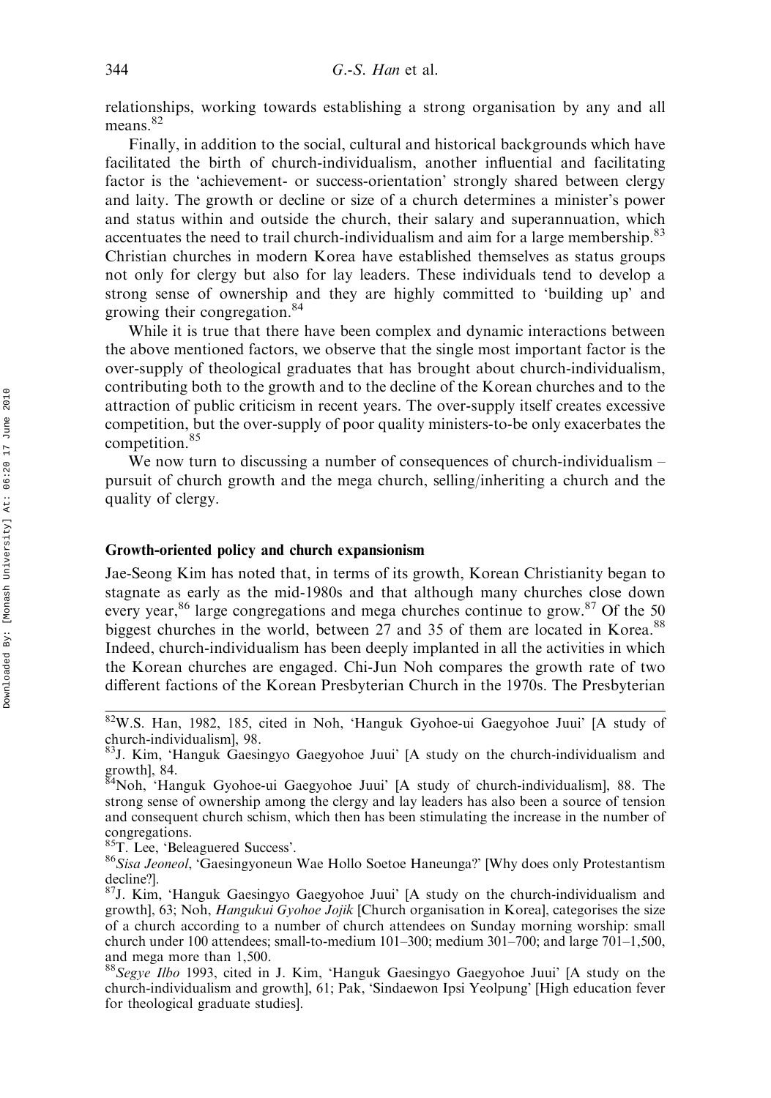relationships, working towards establishing a strong organisation by any and all means.<sup>82</sup>

Finally, in addition to the social, cultural and historical backgrounds which have facilitated the birth of church-individualism, another influential and facilitating factor is the 'achievement- or success-orientation' strongly shared between clergy and laity. The growth or decline or size of a church determines a minister's power and status within and outside the church, their salary and superannuation, which accentuates the need to trail church-individualism and aim for a large membership.<sup>83</sup> Christian churches in modern Korea have established themselves as status groups not only for clergy but also for lay leaders. These individuals tend to develop a strong sense of ownership and they are highly committed to 'building up' and growing their congregation.<sup>84</sup>

While it is true that there have been complex and dynamic interactions between the above mentioned factors, we observe that the single most important factor is the over-supply of theological graduates that has brought about church-individualism, contributing both to the growth and to the decline of the Korean churches and to the attraction of public criticism in recent years. The over-supply itself creates excessive competition, but the over-supply of poor quality ministers-to-be only exacerbates the competition.<sup>85</sup>

We now turn to discussing a number of consequences of church-individualism – pursuit of church growth and the mega church, selling/inheriting a church and the quality of clergy.

#### Growth-oriented policy and church expansionism

Jae-Seong Kim has noted that, in terms of its growth, Korean Christianity began to stagnate as early as the mid-1980s and that although many churches close down every year, <sup>86</sup> large congregations and mega churches continue to grow.<sup>87</sup> Of the 50 biggest churches in the world, between 27 and 35 of them are located in Korea.<sup>88</sup> Indeed, church-individualism has been deeply implanted in all the activities in which the Korean churches are engaged. Chi-Jun Noh compares the growth rate of two different factions of the Korean Presbyterian Church in the 1970s. The Presbyterian

<sup>82</sup>W.S. Han, 1982, 185, cited in Noh, 'Hanguk Gyohoe-ui Gaegyohoe Juui' [A study of church-individualism], 98.

<sup>83</sup>J. Kim, 'Hanguk Gaesingyo Gaegyohoe Juui' [A study on the church-individualism and growth], 84.<br><sup>84</sup>Noh, 'Hanguk Gyohoe-ui Gaegyohoe Juui' [A study of church-individualism], 88. The

strong sense of ownership among the clergy and lay leaders has also been a source of tension and consequent church schism, which then has been stimulating the increase in the number of congregations.<br><sup>85</sup>T. Lee, 'Beleaguered Success'.

<sup>&</sup>lt;sup>86</sup>Sisa Jeoneol, 'Gaesingyoneun Wae Hollo Soetoe Haneunga?' [Why does only Protestantism decline?].

 $87$ J. Kim, 'Hanguk Gaesingyo Gaegyohoe Juui' [A study on the church-individualism and growth], 63; Noh, Hangukui Gyohoe Jojik [Church organisation in Korea], categorises the size of a church according to a number of church attendees on Sunday morning worship: small church under 100 attendees; small-to-medium 101–300; medium 301–700; and large 701–1,500, and mega more than 1,500.<br><sup>88</sup>Seg*ye Ilbo* 1993, cited in J. Kim, 'Hanguk Gaesingyo Gaegyohoe Juui' [A study on the

church-individualism and growth], 61; Pak, 'Sindaewon Ipsi Yeolpung' [High education fever for theological graduate studies].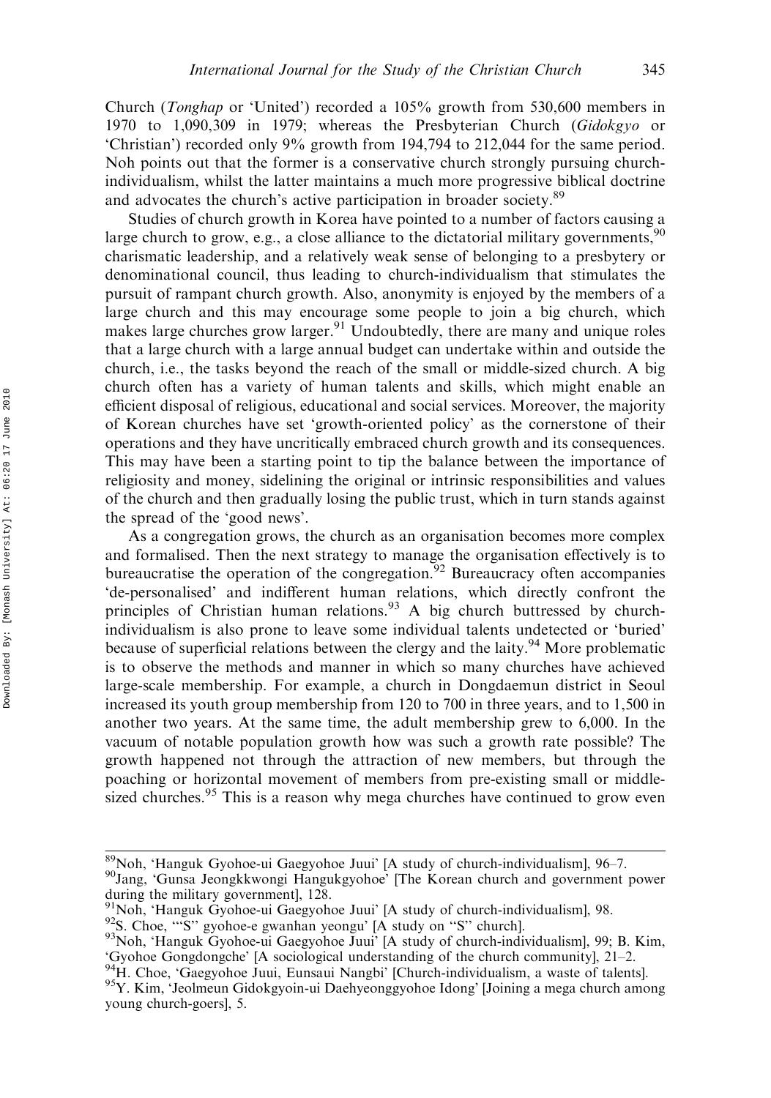Church (Tonghap or 'United') recorded a 105% growth from 530,600 members in 1970 to 1,090,309 in 1979; whereas the Presbyterian Church (Gidokgyo or 'Christian') recorded only 9% growth from 194,794 to 212,044 for the same period. Noh points out that the former is a conservative church strongly pursuing churchindividualism, whilst the latter maintains a much more progressive biblical doctrine and advocates the church's active participation in broader society.<sup>89</sup>

Studies of church growth in Korea have pointed to a number of factors causing a large church to grow, e.g., a close alliance to the dictatorial military governments,  $90$ charismatic leadership, and a relatively weak sense of belonging to a presbytery or denominational council, thus leading to church-individualism that stimulates the pursuit of rampant church growth. Also, anonymity is enjoyed by the members of a large church and this may encourage some people to join a big church, which makes large churches grow larger.<sup>91</sup> Undoubtedly, there are many and unique roles that a large church with a large annual budget can undertake within and outside the church, i.e., the tasks beyond the reach of the small or middle-sized church. A big church often has a variety of human talents and skills, which might enable an efficient disposal of religious, educational and social services. Moreover, the majority of Korean churches have set 'growth-oriented policy' as the cornerstone of their operations and they have uncritically embraced church growth and its consequences. This may have been a starting point to tip the balance between the importance of religiosity and money, sidelining the original or intrinsic responsibilities and values of the church and then gradually losing the public trust, which in turn stands against the spread of the 'good news'.

As a congregation grows, the church as an organisation becomes more complex and formalised. Then the next strategy to manage the organisation effectively is to bureaucratise the operation of the congregation.<sup>92</sup> Bureaucracy often accompanies 'de-personalised' and indifferent human relations, which directly confront the principles of Christian human relations.<sup>93</sup> A big church buttressed by churchindividualism is also prone to leave some individual talents undetected or 'buried' because of superficial relations between the clergy and the laity.<sup>94</sup> More problematic is to observe the methods and manner in which so many churches have achieved large-scale membership. For example, a church in Dongdaemun district in Seoul increased its youth group membership from 120 to 700 in three years, and to 1,500 in another two years. At the same time, the adult membership grew to 6,000. In the vacuum of notable population growth how was such a growth rate possible? The growth happened not through the attraction of new members, but through the poaching or horizontal movement of members from pre-existing small or middlesized churches.<sup>95</sup> This is a reason why mega churches have continued to grow even

<sup>&</sup>lt;sup>89</sup>Noh, 'Hanguk Gyohoe-ui Gaegyohoe Juui' [A study of church-individualism], 96–7.<br><sup>90</sup>Jang, 'Gunsa Jeongkkwongi Hangukgyohoe' [The Korean church and government power during the military government], 128.<br><sup>91</sup>Noh, 'Hanguk Gyohoe-ui Gaegyohoe Juui' [A study of church-individualism], 98.

<sup>&</sup>lt;sup>92</sup>S. Choe, "'S" gyohoe-e gwanhan yeongu' [A study on "S" church].<br><sup>93</sup>Noh, 'Hanguk Gyohoe-ui Gaegyohoe Juui' [A study of church-individualism], 99; B. Kim, 'Gyohoe Gongdongche' [A sociological understanding of the church community], 21–2.<br><sup>94</sup>H. Choe, 'Gaegyohoe Juui, Eunsaui Nangbi' [Church-individualism, a waste of talents].<br><sup>95</sup>Y. Kim, 'Jeolmeun Gidokgyoin-ui Daehyeonggyoh

young church-goers], 5.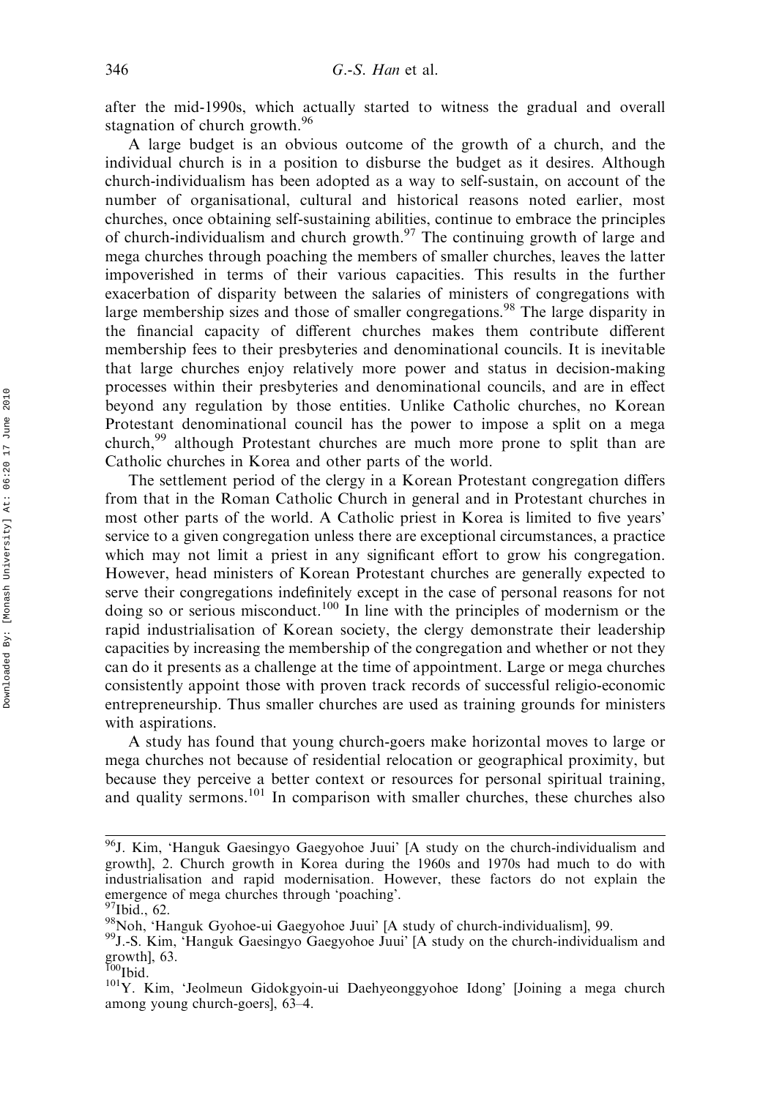after the mid-1990s, which actually started to witness the gradual and overall stagnation of church growth.<sup>96</sup>

A large budget is an obvious outcome of the growth of a church, and the individual church is in a position to disburse the budget as it desires. Although church-individualism has been adopted as a way to self-sustain, on account of the number of organisational, cultural and historical reasons noted earlier, most churches, once obtaining self-sustaining abilities, continue to embrace the principles of church-individualism and church growth.<sup>97</sup> The continuing growth of large and mega churches through poaching the members of smaller churches, leaves the latter impoverished in terms of their various capacities. This results in the further exacerbation of disparity between the salaries of ministers of congregations with large membership sizes and those of smaller congregations.<sup>98</sup> The large disparity in the financial capacity of different churches makes them contribute different membership fees to their presbyteries and denominational councils. It is inevitable that large churches enjoy relatively more power and status in decision-making processes within their presbyteries and denominational councils, and are in effect beyond any regulation by those entities. Unlike Catholic churches, no Korean Protestant denominational council has the power to impose a split on a mega church,<sup>99</sup> although Protestant churches are much more prone to split than are Catholic churches in Korea and other parts of the world.

The settlement period of the clergy in a Korean Protestant congregation differs from that in the Roman Catholic Church in general and in Protestant churches in most other parts of the world. A Catholic priest in Korea is limited to five years' service to a given congregation unless there are exceptional circumstances, a practice which may not limit a priest in any significant effort to grow his congregation. However, head ministers of Korean Protestant churches are generally expected to serve their congregations indefinitely except in the case of personal reasons for not doing so or serious misconduct.<sup>100</sup> In line with the principles of modernism or the rapid industrialisation of Korean society, the clergy demonstrate their leadership capacities by increasing the membership of the congregation and whether or not they can do it presents as a challenge at the time of appointment. Large or mega churches consistently appoint those with proven track records of successful religio-economic entrepreneurship. Thus smaller churches are used as training grounds for ministers with aspirations.

A study has found that young church-goers make horizontal moves to large or mega churches not because of residential relocation or geographical proximity, but because they perceive a better context or resources for personal spiritual training, and quality sermons.<sup>101</sup> In comparison with smaller churches, these churches also

<sup>96</sup>J. Kim, 'Hanguk Gaesingyo Gaegyohoe Juui' [A study on the church-individualism and growth], 2. Church growth in Korea during the 1960s and 1970s had much to do with industrialisation and rapid modernisation. However, these factors do not explain the emergence of mega churches through 'poaching'.<br><sup>97</sup>Ibid., 62.

<sup>&</sup>lt;sup>98</sup>Noh, 'Hanguk Gyohoe-ui Gaegyohoe Juui' [A study of church-individualism], 99. <sup>99</sup>J.-S. Kim, 'Hanguk Gaesingyo Gaegyohoe Juui' [A study on the church-individualism and

growth],  $63.$ <sup>100</sup>Ibid.

<sup>&</sup>lt;sup>101</sup>Y. Kim, 'Jeolmeun Gidokgyoin-ui Daehyeonggyohoe Idong' [Joining a mega church among young church-goers], 63–4.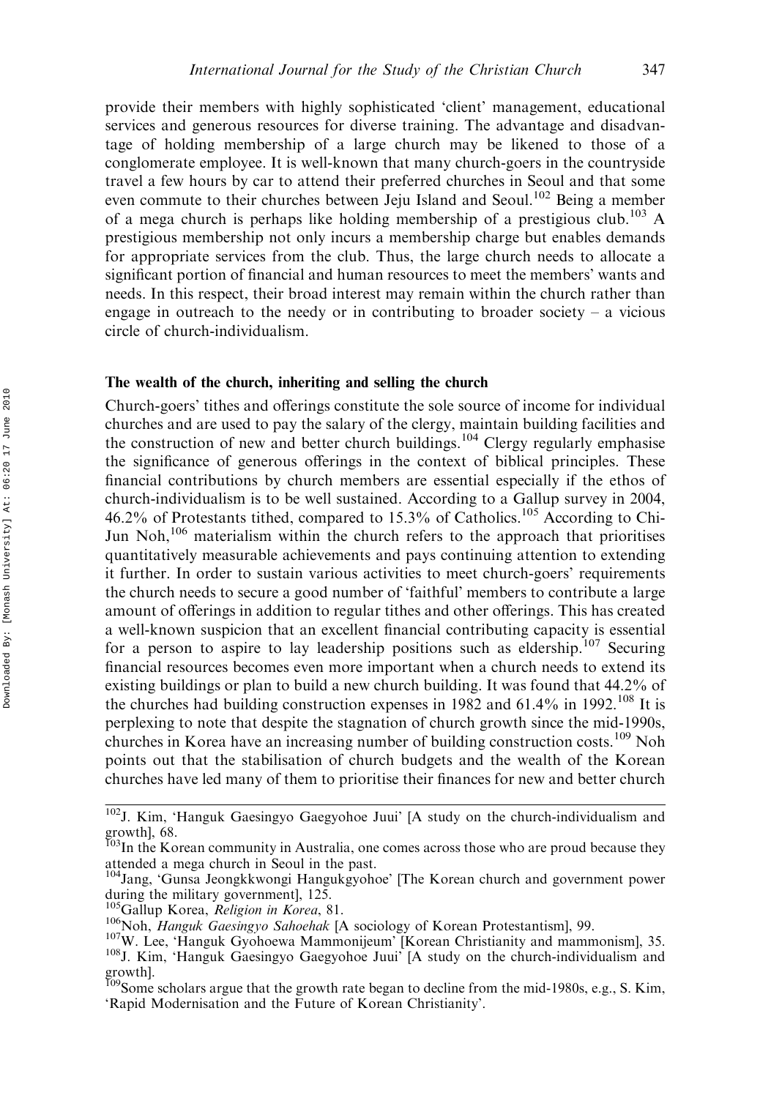provide their members with highly sophisticated 'client' management, educational services and generous resources for diverse training. The advantage and disadvantage of holding membership of a large church may be likened to those of a conglomerate employee. It is well-known that many church-goers in the countryside travel a few hours by car to attend their preferred churches in Seoul and that some even commute to their churches between Jeju Island and Seoul.<sup>102</sup> Being a member of a mega church is perhaps like holding membership of a prestigious club.<sup>103</sup> A prestigious membership not only incurs a membership charge but enables demands for appropriate services from the club. Thus, the large church needs to allocate a significant portion of financial and human resources to meet the members' wants and needs. In this respect, their broad interest may remain within the church rather than engage in outreach to the needy or in contributing to broader society – a vicious circle of church-individualism.

#### The wealth of the church, inheriting and selling the church

Church-goers' tithes and offerings constitute the sole source of income for individual churches and are used to pay the salary of the clergy, maintain building facilities and the construction of new and better church buildings.<sup>104</sup> Clergy regularly emphasise the significance of generous offerings in the context of biblical principles. These financial contributions by church members are essential especially if the ethos of church-individualism is to be well sustained. According to a Gallup survey in 2004, 46.2% of Protestants tithed, compared to 15.3% of Catholics.<sup>105</sup> According to Chi-Jun Noh,<sup>106</sup> materialism within the church refers to the approach that prioritises quantitatively measurable achievements and pays continuing attention to extending it further. In order to sustain various activities to meet church-goers' requirements the church needs to secure a good number of 'faithful' members to contribute a large amount of offerings in addition to regular tithes and other offerings. This has created a well-known suspicion that an excellent financial contributing capacity is essential for a person to aspire to lay leadership positions such as eldership.<sup>107</sup> Securing financial resources becomes even more important when a church needs to extend its existing buildings or plan to build a new church building. It was found that 44.2% of the churches had building construction expenses in 1982 and  $61.4\%$  in 1992.<sup>108</sup> It is perplexing to note that despite the stagnation of church growth since the mid-1990s, churches in Korea have an increasing number of building construction costs.<sup>109</sup> Noh points out that the stabilisation of church budgets and the wealth of the Korean churches have led many of them to prioritise their finances for new and better church

<sup>102</sup>J. Kim, 'Hanguk Gaesingyo Gaegyohoe Juui' [A study on the church-individualism and growth], 68.<br><sup>103</sup>In the Korean community in Australia, one comes across those who are proud because they

attended a mega church in Seoul in the past.

<sup>104</sup>Jang, 'Gunsa Jeongkkwongi Hangukgyohoe' [The Korean church and government power during the military government], 125.<br><sup>105</sup>Gallup Korea, *Religion in Korea*, 81.

<sup>&</sup>lt;sup>106</sup>Noh, *Hanguk Gaesingyo Sahoehak* [A sociology of Korean Protestantism], 99.<br><sup>107</sup>W. Lee, 'Hanguk Gyohoewa Mammonijeum' [Korean Christianity and mammonism], 35.<br><sup>108</sup>J. Kim, 'Hanguk Gaesingyo Gaegyohoe Juui' [A study o growth].<br><sup>109</sup>Some scholars argue that the growth rate began to decline from the mid-1980s, e.g., S. Kim,

<sup>&#</sup>x27;Rapid Modernisation and the Future of Korean Christianity'.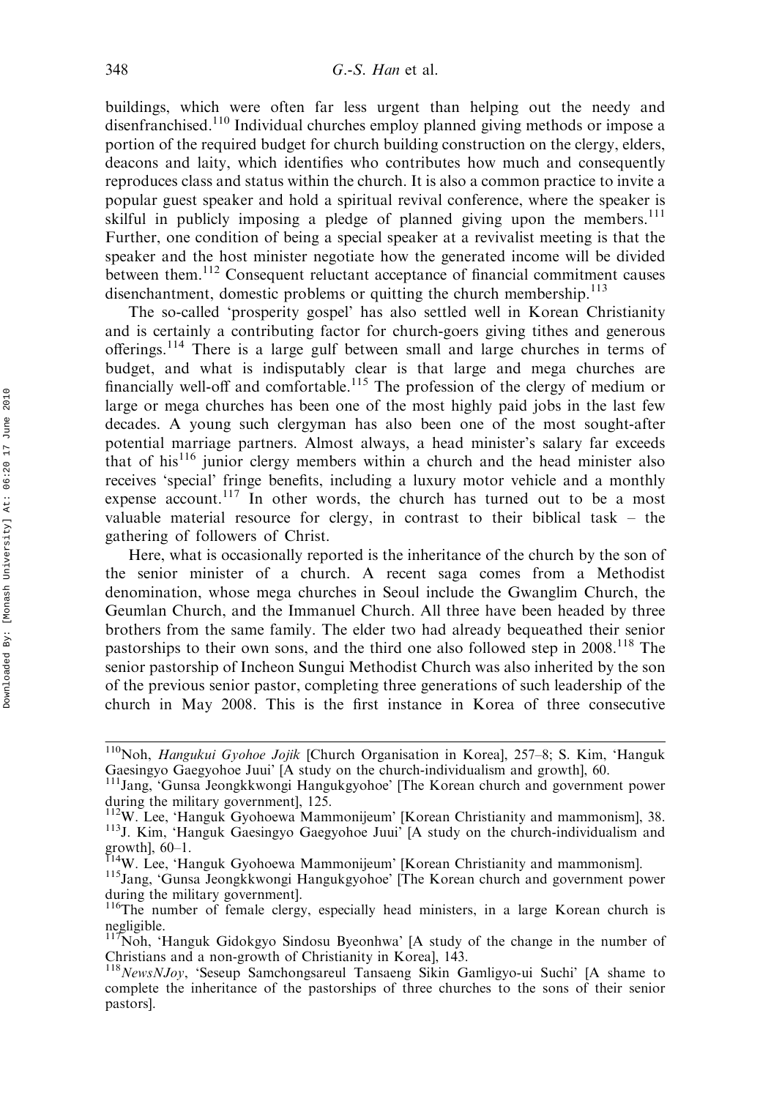buildings, which were often far less urgent than helping out the needy and disenfranchised.110 Individual churches employ planned giving methods or impose a portion of the required budget for church building construction on the clergy, elders, deacons and laity, which identifies who contributes how much and consequently reproduces class and status within the church. It is also a common practice to invite a popular guest speaker and hold a spiritual revival conference, where the speaker is skilful in publicly imposing a pledge of planned giving upon the members.<sup>111</sup> Further, one condition of being a special speaker at a revivalist meeting is that the speaker and the host minister negotiate how the generated income will be divided between them.<sup>112</sup> Consequent reluctant acceptance of financial commitment causes disenchantment, domestic problems or quitting the church membership.<sup>113</sup>

The so-called 'prosperity gospel' has also settled well in Korean Christianity and is certainly a contributing factor for church-goers giving tithes and generous offerings.<sup>114</sup> There is a large gulf between small and large churches in terms of budget, and what is indisputably clear is that large and mega churches are financially well-off and comfortable.<sup>115</sup> The profession of the clergy of medium or large or mega churches has been one of the most highly paid jobs in the last few decades. A young such clergyman has also been one of the most sought-after potential marriage partners. Almost always, a head minister's salary far exceeds that of his<sup>116</sup> junior clergy members within a church and the head minister also receives 'special' fringe benefits, including a luxury motor vehicle and a monthly expense account.<sup>117</sup> In other words, the church has turned out to be a most valuable material resource for clergy, in contrast to their biblical task – the gathering of followers of Christ.

Here, what is occasionally reported is the inheritance of the church by the son of the senior minister of a church. A recent saga comes from a Methodist denomination, whose mega churches in Seoul include the Gwanglim Church, the Geumlan Church, and the Immanuel Church. All three have been headed by three brothers from the same family. The elder two had already bequeathed their senior pastorships to their own sons, and the third one also followed step in 2008.<sup>118</sup> The senior pastorship of Incheon Sungui Methodist Church was also inherited by the son of the previous senior pastor, completing three generations of such leadership of the church in May 2008. This is the first instance in Korea of three consecutive

<sup>110</sup>Noh, Hangukui Gyohoe Jojik [Church Organisation in Korea], 257–8; S. Kim, 'Hanguk Gaesingyo Gaegyohoe Juui' [A study on the church-individualism and growth], 60.

<sup>111</sup>Jang, 'Gunsa Jeongkkwongi Hangukgyohoe' [The Korean church and government power during the military government], 125.

<sup>&</sup>lt;sup>112</sup>W. Lee, 'Hanguk Gyohoewa Mammonijeum' [Korean Christianity and mammonism], 38. 1<sup>13</sup>J. Kim, 'Hanguk Gaesingyo Gaegyohoe Juui' [A study on the church-individualism and growth], 60–1.<br><sup>114</sup>W. Lee, 'Hanguk Gyohoewa Mammonijeum' [Korean Christianity and mammonism].<br><sup>115</sup>Jang, 'Gunsa Jeongkkwongi Hangukgyohoe' [The Korean church and government power

during the military government].

<sup>116</sup>The number of female clergy, especially head ministers, in a large Korean church is negligible.

<sup>&</sup>lt;sup>117</sup>Noh, 'Hanguk Gidokgyo Sindosu Byeonhwa' [A study of the change in the number of Christians and a non-growth of Christianity in Korea], 143.<br><sup>118</sup>NewsNJoy, 'Seseup Samchongsareul Tansaeng Sikin Gamligyo-ui Suchi' [A shame to

complete the inheritance of the pastorships of three churches to the sons of their senior pastors].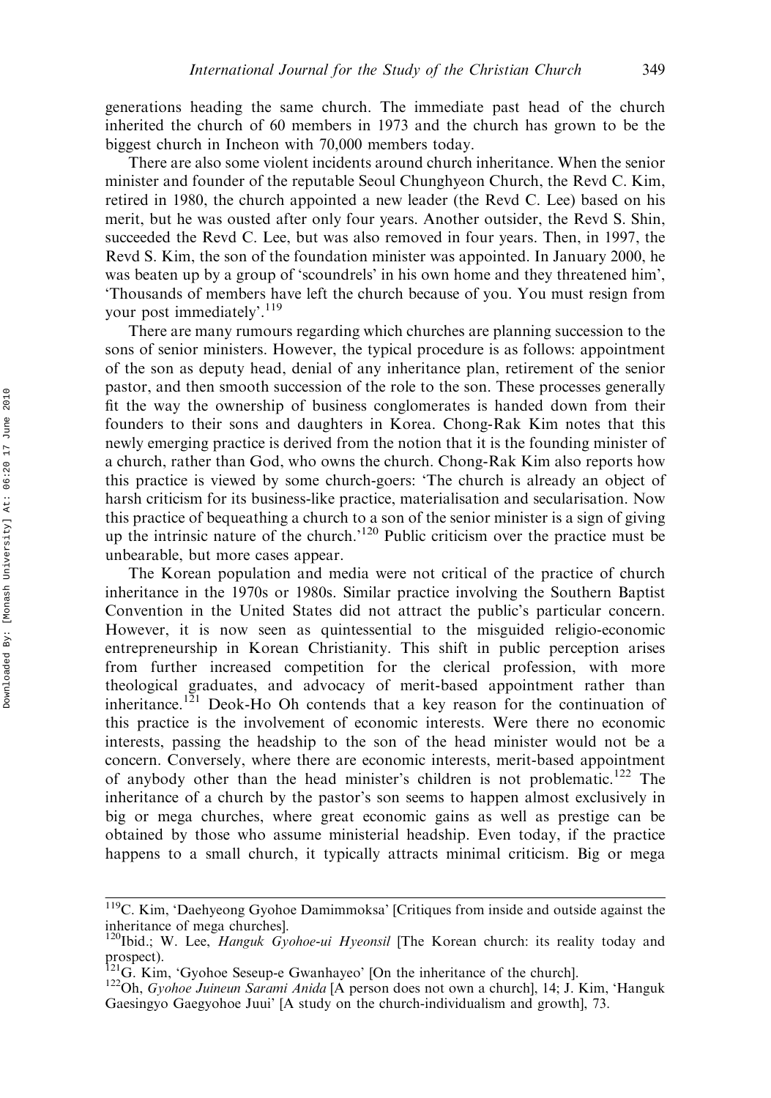generations heading the same church. The immediate past head of the church inherited the church of 60 members in 1973 and the church has grown to be the biggest church in Incheon with 70,000 members today.

There are also some violent incidents around church inheritance. When the senior minister and founder of the reputable Seoul Chunghyeon Church, the Revd C. Kim, retired in 1980, the church appointed a new leader (the Revd C. Lee) based on his merit, but he was ousted after only four years. Another outsider, the Revd S. Shin, succeeded the Revd C. Lee, but was also removed in four years. Then, in 1997, the Revd S. Kim, the son of the foundation minister was appointed. In January 2000, he was beaten up by a group of 'scoundrels' in his own home and they threatened him', 'Thousands of members have left the church because of you. You must resign from your post immediately'.<sup>119</sup>

There are many rumours regarding which churches are planning succession to the sons of senior ministers. However, the typical procedure is as follows: appointment of the son as deputy head, denial of any inheritance plan, retirement of the senior pastor, and then smooth succession of the role to the son. These processes generally fit the way the ownership of business conglomerates is handed down from their founders to their sons and daughters in Korea. Chong-Rak Kim notes that this newly emerging practice is derived from the notion that it is the founding minister of a church, rather than God, who owns the church. Chong-Rak Kim also reports how this practice is viewed by some church-goers: 'The church is already an object of harsh criticism for its business-like practice, materialisation and secularisation. Now this practice of bequeathing a church to a son of the senior minister is a sign of giving up the intrinsic nature of the church.<sup>'120</sup> Public criticism over the practice must be unbearable, but more cases appear.

The Korean population and media were not critical of the practice of church inheritance in the 1970s or 1980s. Similar practice involving the Southern Baptist Convention in the United States did not attract the public's particular concern. However, it is now seen as quintessential to the misguided religio-economic entrepreneurship in Korean Christianity. This shift in public perception arises from further increased competition for the clerical profession, with more theological graduates, and advocacy of merit-based appointment rather than inheritance.<sup>121</sup> Deok-Ho Oh contends that a key reason for the continuation of this practice is the involvement of economic interests. Were there no economic interests, passing the headship to the son of the head minister would not be a concern. Conversely, where there are economic interests, merit-based appointment of anybody other than the head minister's children is not problematic.<sup>122</sup> The inheritance of a church by the pastor's son seems to happen almost exclusively in big or mega churches, where great economic gains as well as prestige can be obtained by those who assume ministerial headship. Even today, if the practice happens to a small church, it typically attracts minimal criticism. Big or mega

<sup>119</sup>C. Kim, 'Daehyeong Gyohoe Damimmoksa' [Critiques from inside and outside against the inheritance of mega churches].

 $120$ Ibid.; W. Lee, Hanguk Gyohoe-ui Hyeonsil [The Korean church: its reality today and prospect).<br><sup>121</sup>G. Kim, 'Gyohoe Seseup-e Gwanhayeo' [On the inheritance of the church].

<sup>&</sup>lt;sup>122</sup>Oh, Gyohoe Juineun Sarami Anida [A person does not own a church], 14; J. Kim, 'Hanguk Gaesingyo Gaegyohoe Juui' [A study on the church-individualism and growth], 73.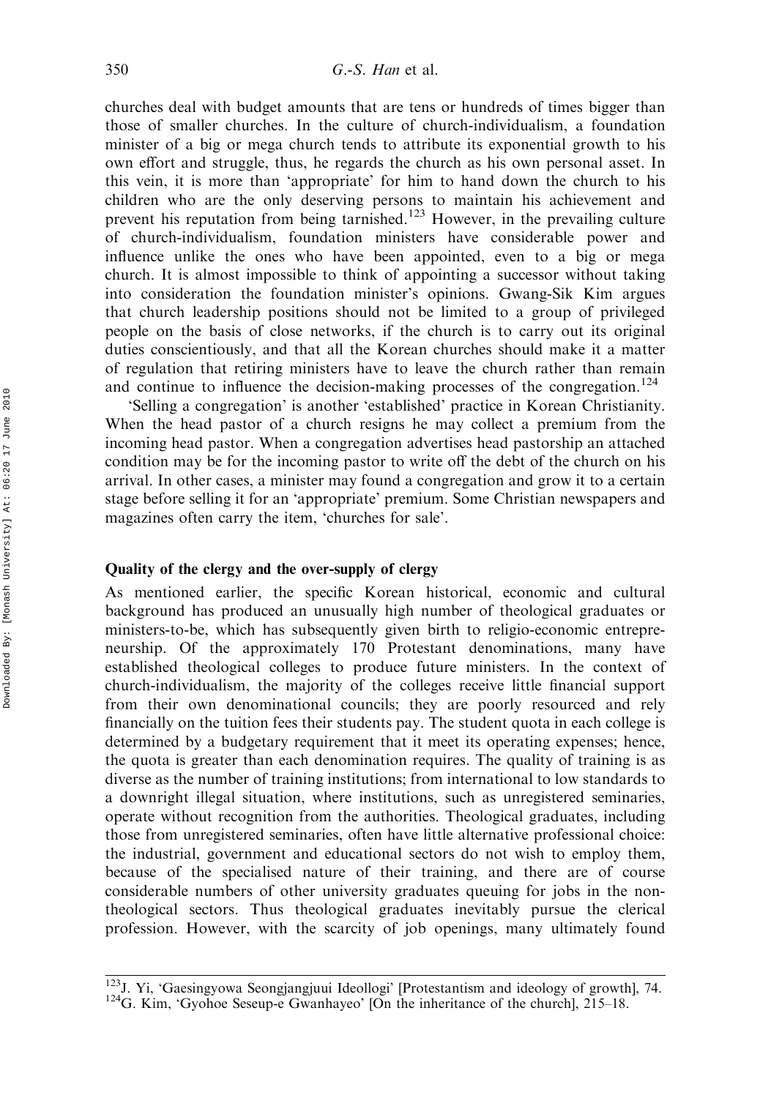churches deal with budget amounts that are tens or hundreds of times bigger than those of smaller churches. In the culture of church-individualism, a foundation minister of a big or mega church tends to attribute its exponential growth to his own effort and struggle, thus, he regards the church as his own personal asset. In this vein, it is more than 'appropriate' for him to hand down the church to his children who are the only deserving persons to maintain his achievement and prevent his reputation from being tarnished.<sup>123</sup> However, in the prevailing culture of church-individualism, foundation ministers have considerable power and influence unlike the ones who have been appointed, even to a big or mega church. It is almost impossible to think of appointing a successor without taking into consideration the foundation minister's opinions. Gwang-Sik Kim argues that church leadership positions should not be limited to a group of privileged people on the basis of close networks, if the church is to carry out its original duties conscientiously, and that all the Korean churches should make it a matter of regulation that retiring ministers have to leave the church rather than remain and continue to influence the decision-making processes of the congregation.<sup>124</sup>

'Selling a congregation' is another 'established' practice in Korean Christianity. When the head pastor of a church resigns he may collect a premium from the incoming head pastor. When a congregation advertises head pastorship an attached condition may be for the incoming pastor to write off the debt of the church on his arrival. In other cases, a minister may found a congregation and grow it to a certain stage before selling it for an 'appropriate' premium. Some Christian newspapers and magazines often carry the item, 'churches for sale'.

# Quality of the clergy and the over-supply of clergy

As mentioned earlier, the specific Korean historical, economic and cultural background has produced an unusually high number of theological graduates or ministers-to-be, which has subsequently given birth to religio-economic entrepreneurship. Of the approximately 170 Protestant denominations, many have established theological colleges to produce future ministers. In the context of church-individualism, the majority of the colleges receive little financial support from their own denominational councils; they are poorly resourced and rely financially on the tuition fees their students pay. The student quota in each college is determined by a budgetary requirement that it meet its operating expenses; hence, the quota is greater than each denomination requires. The quality of training is as diverse as the number of training institutions; from international to low standards to a downright illegal situation, where institutions, such as unregistered seminaries, operate without recognition from the authorities. Theological graduates, including those from unregistered seminaries, often have little alternative professional choice: the industrial, government and educational sectors do not wish to employ them, because of the specialised nature of their training, and there are of course considerable numbers of other university graduates queuing for jobs in the nontheological sectors. Thus theological graduates inevitably pursue the clerical profession. However, with the scarcity of job openings, many ultimately found

<sup>&</sup>lt;sup>123</sup>J. Yi, 'Gaesingyowa Seongjangjuui Ideollogi' [Protestantism and ideology of growth], 74.  $124$ G. Kim, 'Gyohoe Seseup-e Gwanhayeo' [On the inheritance of the church], 215–18.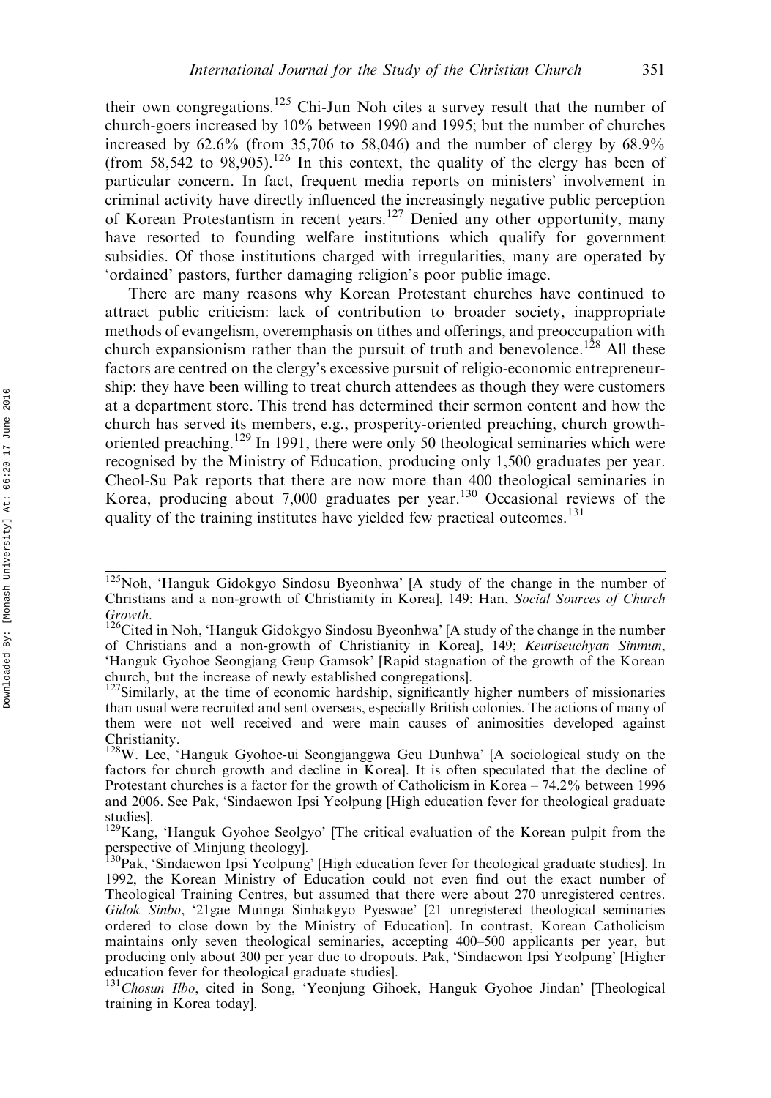their own congregations.<sup>125</sup> Chi-Jun Noh cites a survey result that the number of church-goers increased by 10% between 1990 and 1995; but the number of churches increased by 62.6% (from 35,706 to 58,046) and the number of clergy by 68.9% (from 58,542 to 98,905).<sup>126</sup> In this context, the quality of the clergy has been of particular concern. In fact, frequent media reports on ministers' involvement in criminal activity have directly influenced the increasingly negative public perception of Korean Protestantism in recent years.<sup>127</sup> Denied any other opportunity, many have resorted to founding welfare institutions which qualify for government subsidies. Of those institutions charged with irregularities, many are operated by 'ordained' pastors, further damaging religion's poor public image.

There are many reasons why Korean Protestant churches have continued to attract public criticism: lack of contribution to broader society, inappropriate methods of evangelism, overemphasis on tithes and offerings, and preoccupation with church expansionism rather than the pursuit of truth and benevolence.<sup>128</sup> All these factors are centred on the clergy's excessive pursuit of religio-economic entrepreneurship: they have been willing to treat church attendees as though they were customers at a department store. This trend has determined their sermon content and how the church has served its members, e.g., prosperity-oriented preaching, church growthoriented preaching.<sup>129</sup> In 1991, there were only 50 theological seminaries which were recognised by the Ministry of Education, producing only 1,500 graduates per year. Cheol-Su Pak reports that there are now more than 400 theological seminaries in Korea, producing about 7,000 graduates per year.<sup>130</sup> Occasional reviews of the quality of the training institutes have yielded few practical outcomes.<sup>131</sup>

<sup>125</sup>Noh, 'Hanguk Gidokgyo Sindosu Byeonhwa' [A study of the change in the number of Christians and a non-growth of Christianity in Korea], 149; Han, Social Sources of Church Growth.<br><sup>126</sup>Cited in Noh, 'Hanguk Gidokgyo Sindosu Byeonhwa' [A study of the change in the number

of Christians and a non-growth of Christianity in Korea], 149; Keuriseuchyan Sinmun, 'Hanguk Gyohoe Seongjang Geup Gamsok' [Rapid stagnation of the growth of the Korean church, but the increase of newly established congregations].

<sup>&</sup>lt;sup>127</sup>Similarly, at the time of economic hardship, significantly higher numbers of missionaries than usual were recruited and sent overseas, especially British colonies. The actions of many of them were not well received and were main causes of animosities developed against Christianity.

<sup>&</sup>lt;sup>128</sup>W. Lee, 'Hanguk Gyohoe-ui Seongjanggwa Geu Dunhwa' [A sociological study on the factors for church growth and decline in Korea]. It is often speculated that the decline of Protestant churches is a factor for the growth of Catholicism in Korea – 74.2% between 1996 and 2006. See Pak, 'Sindaewon Ipsi Yeolpung [High education fever for theological graduate studies].

 $129$ Kang, 'Hanguk Gyohoe Seolgyo' [The critical evaluation of the Korean pulpit from the perspective of Minjung theology].<br><sup>130</sup>Pak, 'Sindaewon Ipsi Yeolpung' [High education fever for theological graduate studies]. In

<sup>1992,</sup> the Korean Ministry of Education could not even find out the exact number of Theological Training Centres, but assumed that there were about 270 unregistered centres. Gidok Sinbo, '21gae Muinga Sinhakgyo Pyeswae' [21 unregistered theological seminaries ordered to close down by the Ministry of Education]. In contrast, Korean Catholicism maintains only seven theological seminaries, accepting 400–500 applicants per year, but producing only about 300 per year due to dropouts. Pak, 'Sindaewon Ipsi Yeolpung' [Higher education fever for theological graduate studies].

<sup>&</sup>lt;sup>131</sup>Chosun Ilbo, cited in Song, 'Yeonjung Gihoek, Hanguk Gyohoe Jindan' [Theological training in Korea today].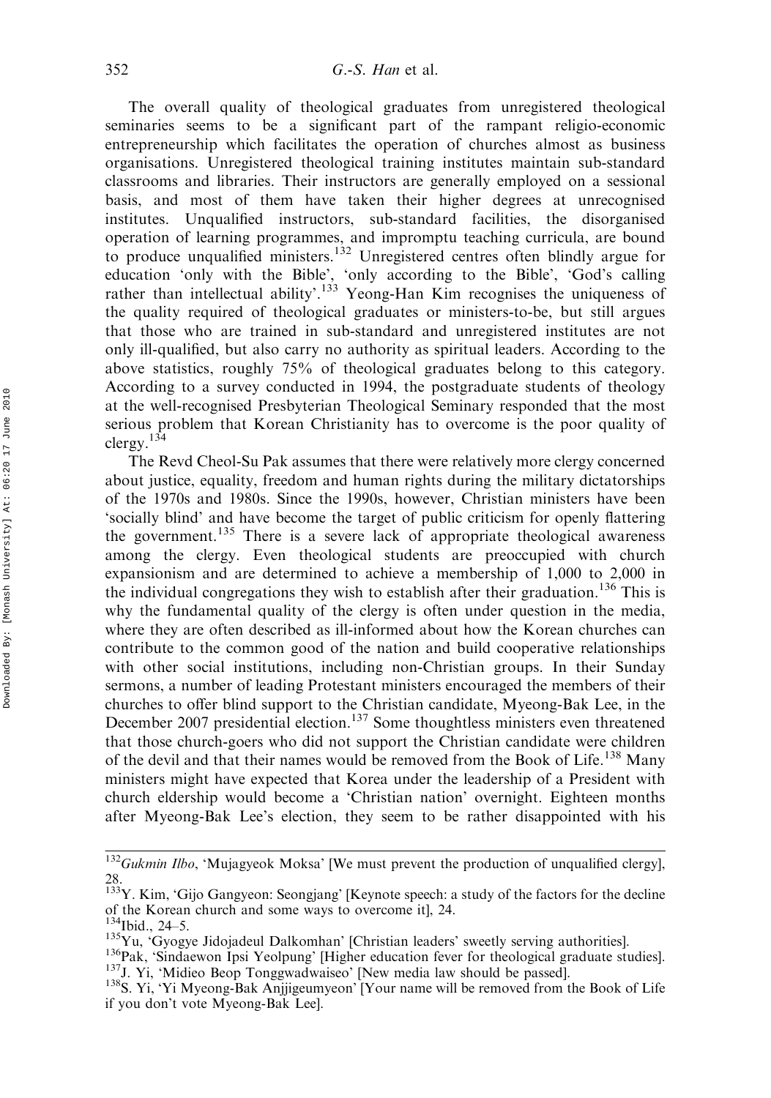The overall quality of theological graduates from unregistered theological seminaries seems to be a significant part of the rampant religio-economic entrepreneurship which facilitates the operation of churches almost as business organisations. Unregistered theological training institutes maintain sub-standard classrooms and libraries. Their instructors are generally employed on a sessional basis, and most of them have taken their higher degrees at unrecognised institutes. Unqualified instructors, sub-standard facilities, the disorganised operation of learning programmes, and impromptu teaching curricula, are bound to produce unqualified ministers.<sup>132</sup> Unregistered centres often blindly argue for education 'only with the Bible', 'only according to the Bible', 'God's calling rather than intellectual ability'.133 Yeong-Han Kim recognises the uniqueness of the quality required of theological graduates or ministers-to-be, but still argues that those who are trained in sub-standard and unregistered institutes are not only ill-qualified, but also carry no authority as spiritual leaders. According to the above statistics, roughly 75% of theological graduates belong to this category. According to a survey conducted in 1994, the postgraduate students of theology at the well-recognised Presbyterian Theological Seminary responded that the most serious problem that Korean Christianity has to overcome is the poor quality of clergy.134

The Revd Cheol-Su Pak assumes that there were relatively more clergy concerned about justice, equality, freedom and human rights during the military dictatorships of the 1970s and 1980s. Since the 1990s, however, Christian ministers have been 'socially blind' and have become the target of public criticism for openly flattering the government.<sup>135</sup> There is a severe lack of appropriate theological awareness among the clergy. Even theological students are preoccupied with church expansionism and are determined to achieve a membership of 1,000 to 2,000 in the individual congregations they wish to establish after their graduation.<sup>136</sup> This is why the fundamental quality of the clergy is often under question in the media, where they are often described as ill-informed about how the Korean churches can contribute to the common good of the nation and build cooperative relationships with other social institutions, including non-Christian groups. In their Sunday sermons, a number of leading Protestant ministers encouraged the members of their churches to offer blind support to the Christian candidate, Myeong-Bak Lee, in the December 2007 presidential election.<sup>137</sup> Some thoughtless ministers even threatened that those church-goers who did not support the Christian candidate were children of the devil and that their names would be removed from the Book of Life.<sup>138</sup> Many ministers might have expected that Korea under the leadership of a President with church eldership would become a 'Christian nation' overnight. Eighteen months after Myeong-Bak Lee's election, they seem to be rather disappointed with his

 $\frac{132}{132}$ Gukmin Ilbo, 'Mujagyeok Moksa' [We must prevent the production of unqualified clergy], 28.

<sup>&</sup>lt;sup>133</sup>Y. Kim, 'Gijo Gangyeon: Seongjang' [Keynote speech: a study of the factors for the decline of the Korean church and some ways to overcome it], 24.<br><sup>134</sup>Ibid., 24–5.

<sup>&</sup>lt;sup>135</sup>Yu, 'Gyogye Jidojadeul Dalkomhan' [Christian leaders' sweetly serving authorities].<br><sup>136</sup>Pak, 'Sindaewon Ipsi Yeolpung' [Higher education fever for theological graduate studies].<br><sup>137</sup>J. Yi, 'Midieo Beop Tonggwadwais

if you don't vote Myeong-Bak Lee].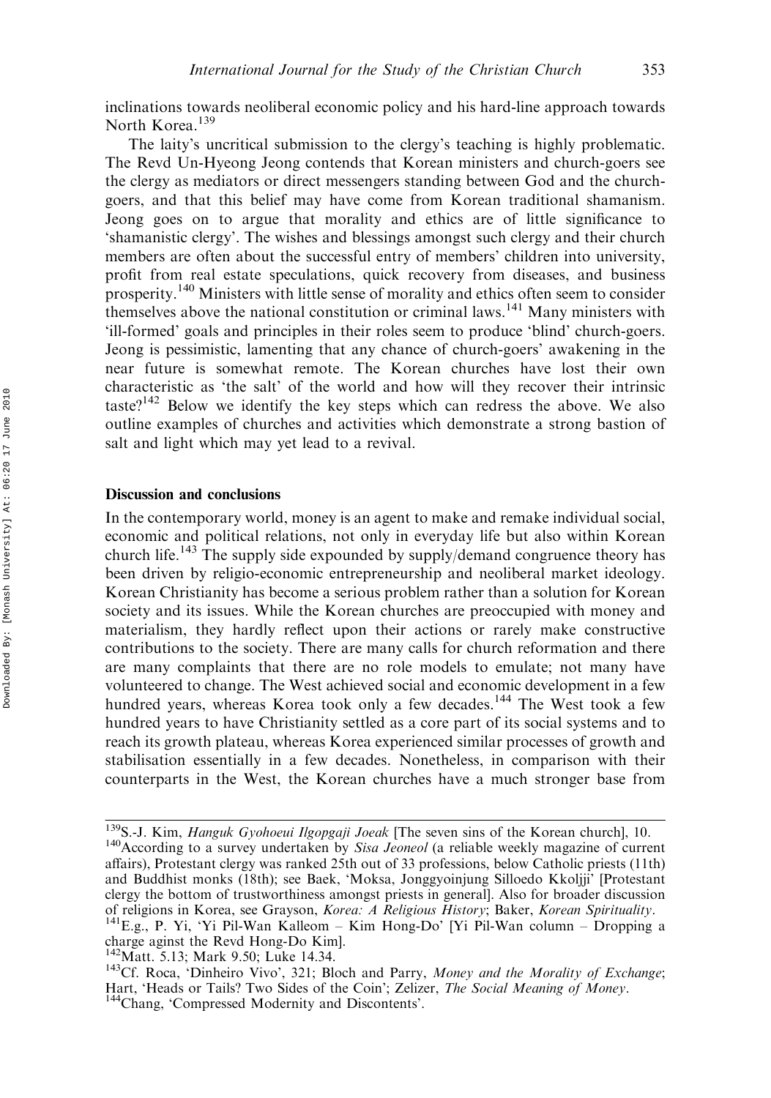inclinations towards neoliberal economic policy and his hard-line approach towards North Korea.<sup>139</sup>

The laity's uncritical submission to the clergy's teaching is highly problematic. The Revd Un-Hyeong Jeong contends that Korean ministers and church-goers see the clergy as mediators or direct messengers standing between God and the churchgoers, and that this belief may have come from Korean traditional shamanism. Jeong goes on to argue that morality and ethics are of little significance to 'shamanistic clergy'. The wishes and blessings amongst such clergy and their church members are often about the successful entry of members' children into university, profit from real estate speculations, quick recovery from diseases, and business prosperity.<sup>140</sup> Ministers with little sense of morality and ethics often seem to consider  $t_{\text{hemselves}}$  above the national constitution or criminal laws.<sup>141</sup> Many ministers with 'ill-formed' goals and principles in their roles seem to produce 'blind' church-goers. Jeong is pessimistic, lamenting that any chance of church-goers' awakening in the near future is somewhat remote. The Korean churches have lost their own characteristic as 'the salt' of the world and how will they recover their intrinsic taste? $142$  Below we identify the key steps which can redress the above. We also outline examples of churches and activities which demonstrate a strong bastion of salt and light which may yet lead to a revival.

#### Discussion and conclusions

In the contemporary world, money is an agent to make and remake individual social, economic and political relations, not only in everyday life but also within Korean church life.<sup>143</sup> The supply side expounded by supply/demand congruence theory has been driven by religio-economic entrepreneurship and neoliberal market ideology. Korean Christianity has become a serious problem rather than a solution for Korean society and its issues. While the Korean churches are preoccupied with money and materialism, they hardly reflect upon their actions or rarely make constructive contributions to the society. There are many calls for church reformation and there are many complaints that there are no role models to emulate; not many have volunteered to change. The West achieved social and economic development in a few hundred years, whereas Korea took only a few decades.<sup>144</sup> The West took a few hundred years to have Christianity settled as a core part of its social systems and to reach its growth plateau, whereas Korea experienced similar processes of growth and stabilisation essentially in a few decades. Nonetheless, in comparison with their counterparts in the West, the Korean churches have a much stronger base from

<sup>&</sup>lt;sup>139</sup>S.-J. Kim, *Hanguk Gyohoeui Ilgopgaji Joeak* [The seven sins of the Korean church], 10. <sup>140</sup>According to a survey undertaken by *Sisa Jeoneol* (a reliable weekly magazine of current affairs), Protestant clergy was ranked 25th out of 33 professions, below Catholic priests (11th) and Buddhist monks (18th); see Baek, 'Moksa, Jonggyoinjung Silloedo Kkoljji' [Protestant clergy the bottom of trustworthiness amongst priests in general]. Also for broader discussion of religions in Korea, see Grayson, *Korea: A Religious History*; Baker, *Korean Spirituality*.<br><sup>141</sup>E.g., P. Yi, 'Yi Pil-Wan Kalleom – Kim Hong-Do' [Yi Pil-Wan column – Dropping a charge aginst the Revd Hong-Do Kim].<br><sup>142</sup>Matt. 5.13; Mark 9.50; Luke 14.34.

 $143$ Cf. Roca, 'Dinheiro Vivo', 321; Bloch and Parry, Money and the Morality of Exchange; Hart, 'Heads or Tails? Two Sides of the Coin'; Zelizer, *The Social Meaning of Money*. <sup>144</sup>Chang, 'Compressed Modernity and Discontents'.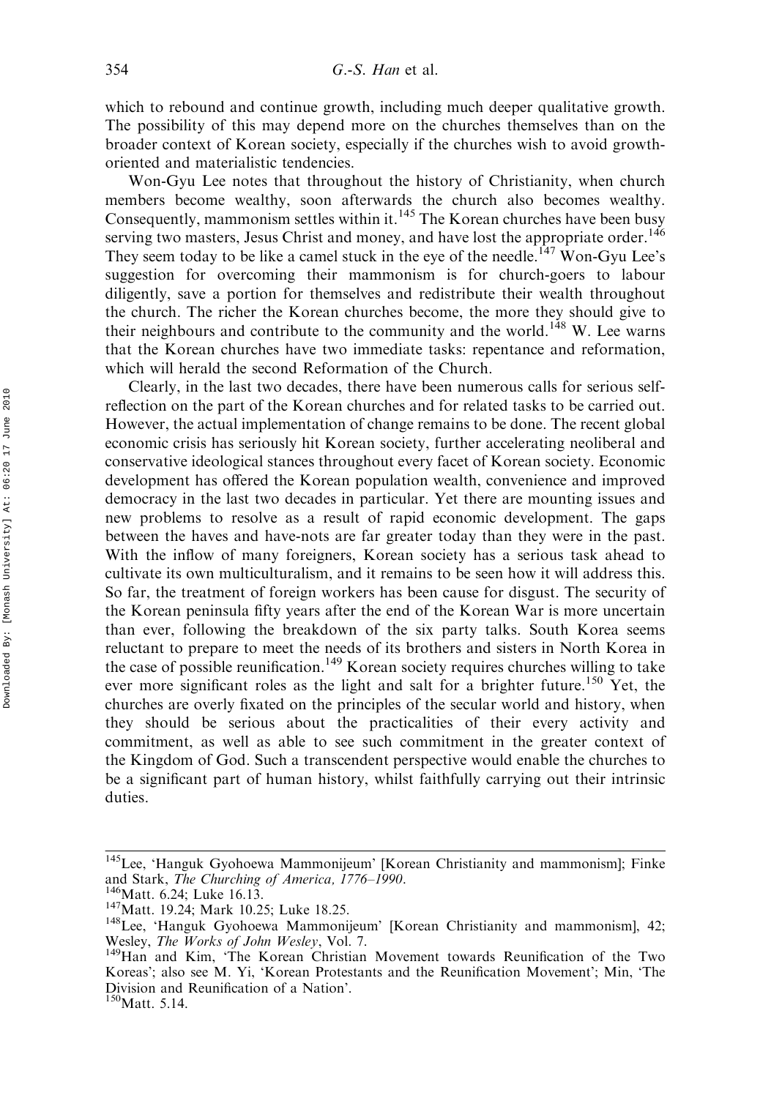which to rebound and continue growth, including much deeper qualitative growth. The possibility of this may depend more on the churches themselves than on the broader context of Korean society, especially if the churches wish to avoid growthoriented and materialistic tendencies.

Won-Gyu Lee notes that throughout the history of Christianity, when church members become wealthy, soon afterwards the church also becomes wealthy. Consequently, mammonism settles within it.<sup>145</sup> The Korean churches have been busy serving two masters, Jesus Christ and money, and have lost the appropriate order.<sup>146</sup> They seem today to be like a camel stuck in the eye of the needle.<sup>147</sup> Won-Gyu Lee's suggestion for overcoming their mammonism is for church-goers to labour diligently, save a portion for themselves and redistribute their wealth throughout the church. The richer the Korean churches become, the more they should give to their neighbours and contribute to the community and the world.<sup>148</sup> W. Lee warns that the Korean churches have two immediate tasks: repentance and reformation, which will herald the second Reformation of the Church.

Clearly, in the last two decades, there have been numerous calls for serious selfreflection on the part of the Korean churches and for related tasks to be carried out. However, the actual implementation of change remains to be done. The recent global economic crisis has seriously hit Korean society, further accelerating neoliberal and conservative ideological stances throughout every facet of Korean society. Economic development has offered the Korean population wealth, convenience and improved democracy in the last two decades in particular. Yet there are mounting issues and new problems to resolve as a result of rapid economic development. The gaps between the haves and have-nots are far greater today than they were in the past. With the inflow of many foreigners, Korean society has a serious task ahead to cultivate its own multiculturalism, and it remains to be seen how it will address this. So far, the treatment of foreign workers has been cause for disgust. The security of the Korean peninsula fifty years after the end of the Korean War is more uncertain than ever, following the breakdown of the six party talks. South Korea seems reluctant to prepare to meet the needs of its brothers and sisters in North Korea in the case of possible reunification.<sup>149</sup> Korean society requires churches willing to take ever more significant roles as the light and salt for a brighter future.<sup>150</sup> Yet, the churches are overly fixated on the principles of the secular world and history, when they should be serious about the practicalities of their every activity and commitment, as well as able to see such commitment in the greater context of the Kingdom of God. Such a transcendent perspective would enable the churches to be a significant part of human history, whilst faithfully carrying out their intrinsic duties.

<sup>145</sup>Lee, 'Hanguk Gyohoewa Mammonijeum' [Korean Christianity and mammonism]; Finke and Stark, *The Churching of America, 1776–1990.*<br><sup>146</sup>Matt. 6.24; Luke 16.13. 147Matt. 19.24; Mark 10.25; Luke 18.25. 148Lee, 'Hanguk Gyohoewa Mammonijeum' [Korean Christianity and mammonism], 42;

Wesley, The Works of John Wesley, Vol. 7.<br><sup>149</sup>Han and Kim, 'The Korean Christian Movement towards Reunification of the Two

Koreas'; also see M. Yi, 'Korean Protestants and the Reunification Movement'; Min, 'The Division and Reunification of a Nation'.

 $150$ Matt. 5.14.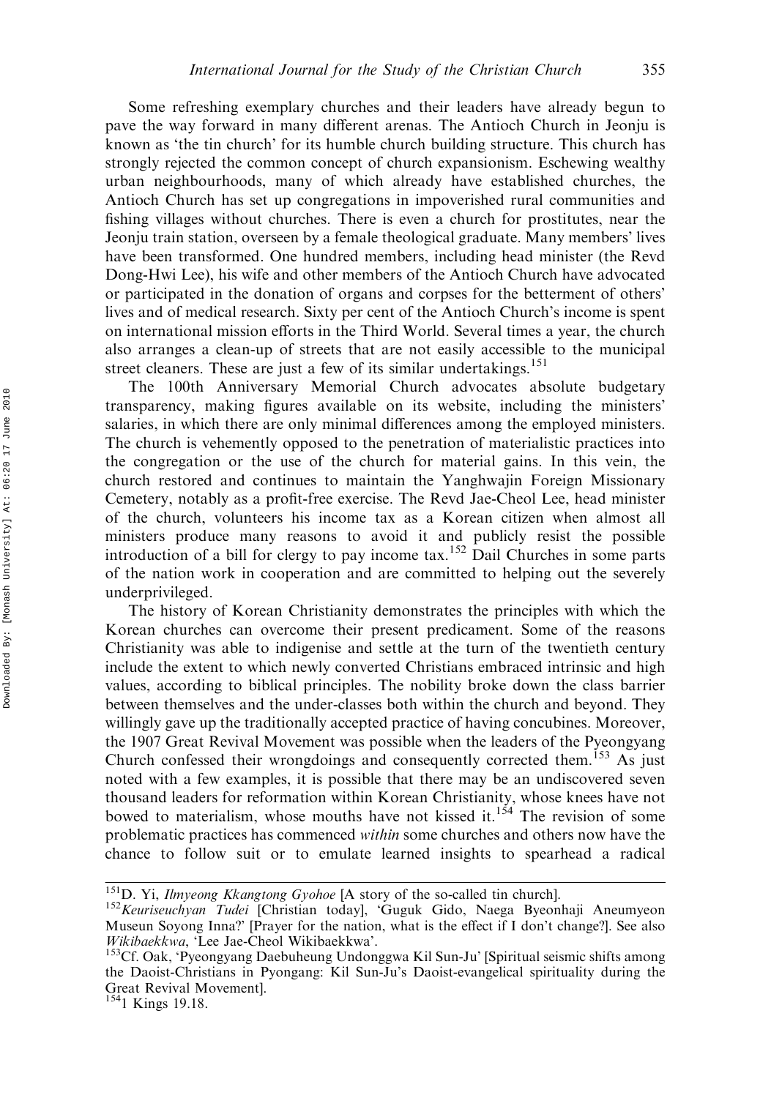Some refreshing exemplary churches and their leaders have already begun to pave the way forward in many different arenas. The Antioch Church in Jeonju is known as 'the tin church' for its humble church building structure. This church has strongly rejected the common concept of church expansionism. Eschewing wealthy urban neighbourhoods, many of which already have established churches, the Antioch Church has set up congregations in impoverished rural communities and fishing villages without churches. There is even a church for prostitutes, near the Jeonju train station, overseen by a female theological graduate. Many members' lives have been transformed. One hundred members, including head minister (the Revd Dong-Hwi Lee), his wife and other members of the Antioch Church have advocated or participated in the donation of organs and corpses for the betterment of others' lives and of medical research. Sixty per cent of the Antioch Church's income is spent on international mission efforts in the Third World. Several times a year, the church also arranges a clean-up of streets that are not easily accessible to the municipal street cleaners. These are just a few of its similar undertakings.<sup>151</sup>

The 100th Anniversary Memorial Church advocates absolute budgetary transparency, making figures available on its website, including the ministers' salaries, in which there are only minimal differences among the employed ministers. The church is vehemently opposed to the penetration of materialistic practices into the congregation or the use of the church for material gains. In this vein, the church restored and continues to maintain the Yanghwajin Foreign Missionary Cemetery, notably as a profit-free exercise. The Revd Jae-Cheol Lee, head minister of the church, volunteers his income tax as a Korean citizen when almost all ministers produce many reasons to avoid it and publicly resist the possible introduction of a bill for clergy to pay income tax.<sup>152</sup> Dail Churches in some parts of the nation work in cooperation and are committed to helping out the severely underprivileged.

The history of Korean Christianity demonstrates the principles with which the Korean churches can overcome their present predicament. Some of the reasons Christianity was able to indigenise and settle at the turn of the twentieth century include the extent to which newly converted Christians embraced intrinsic and high values, according to biblical principles. The nobility broke down the class barrier between themselves and the under-classes both within the church and beyond. They willingly gave up the traditionally accepted practice of having concubines. Moreover, the 1907 Great Revival Movement was possible when the leaders of the Pyeongyang Church confessed their wrongdoings and consequently corrected them.<sup>153</sup> As just noted with a few examples, it is possible that there may be an undiscovered seven thousand leaders for reformation within Korean Christianity, whose knees have not bowed to materialism, whose mouths have not kissed it.<sup>154</sup> The revision of some problematic practices has commenced within some churches and others now have the chance to follow suit or to emulate learned insights to spearhead a radical

<sup>&</sup>lt;sup>151</sup>D. Yi, *Ilmyeong Kkangtong Gyohoe* [A story of the so-called tin church].<br><sup>152</sup>Keuriseuchyan *Tudei* [Christian today], 'Guguk Gido, Naega Byeonhaji Aneumyeon Museun Soyong Inna?' [Prayer for the nation, what is the effect if I don't change?]. See also *Wikibaekkwa*, 'Lee Jae-Cheol Wikibaekkwa'.

Wikibathwa, 'Lee Jack-Cheol Wikibaekkwa, 'Lee Jack-Cheol Wikibaekki Wikibaekki Sun-Ju' [Spiritual seismic shifts among the Daoist-Christians in Pyongang: Kil Sun-Ju's Daoist-evangelical spirituality during the Great Revival Movement].

<sup>&</sup>lt;sup>154</sup>1 Kings 19.18.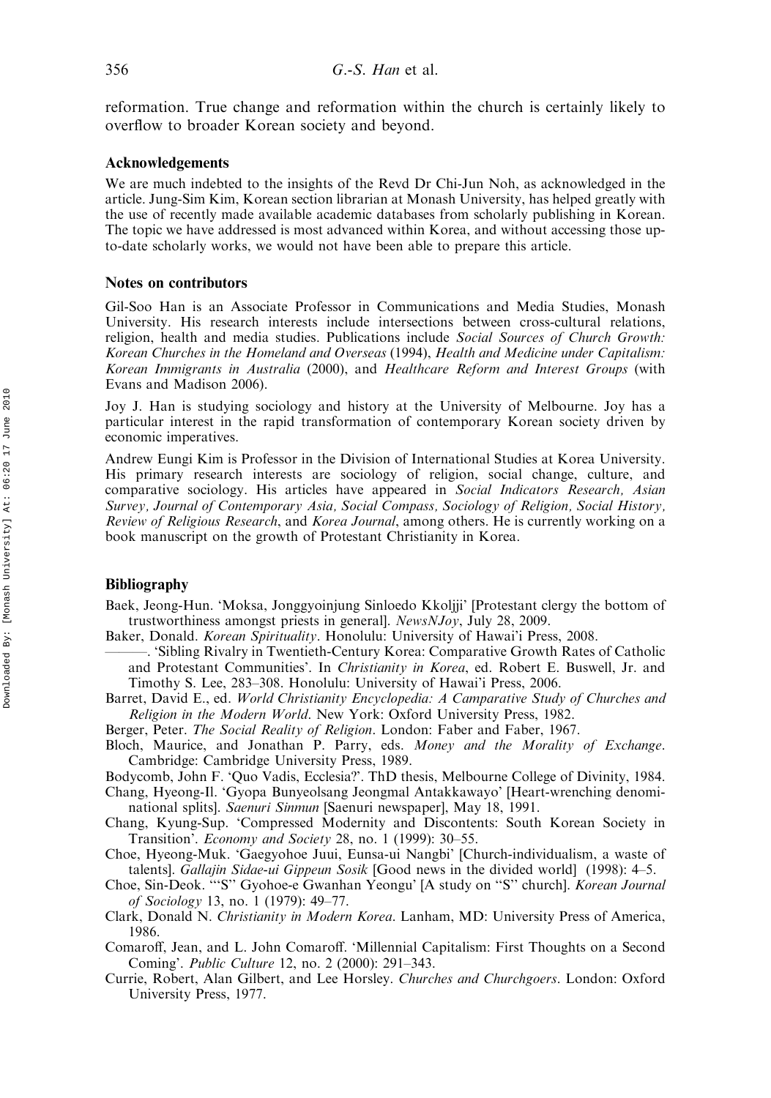reformation. True change and reformation within the church is certainly likely to overflow to broader Korean society and beyond.

#### Acknowledgements

We are much indebted to the insights of the Revd Dr Chi-Jun Noh, as acknowledged in the article. Jung-Sim Kim, Korean section librarian at Monash University, has helped greatly with the use of recently made available academic databases from scholarly publishing in Korean. The topic we have addressed is most advanced within Korea, and without accessing those upto-date scholarly works, we would not have been able to prepare this article.

#### Notes on contributors

Gil-Soo Han is an Associate Professor in Communications and Media Studies, Monash University. His research interests include intersections between cross-cultural relations, religion, health and media studies. Publications include Social Sources of Church Growth: Korean Churches in the Homeland and Overseas (1994), Health and Medicine under Capitalism: Korean Immigrants in Australia (2000), and Healthcare Reform and Interest Groups (with Evans and Madison 2006).

Joy J. Han is studying sociology and history at the University of Melbourne. Joy has a particular interest in the rapid transformation of contemporary Korean society driven by economic imperatives.

Andrew Eungi Kim is Professor in the Division of International Studies at Korea University. His primary research interests are sociology of religion, social change, culture, and comparative sociology. His articles have appeared in *Social Indicators Research*, *Asian* Survey, Journal of Contemporary Asia, Social Compass, Sociology of Religion, Social History, Review of Religious Research, and Korea Journal, among others. He is currently working on a book manuscript on the growth of Protestant Christianity in Korea.

#### Bibliography

Baek, Jeong-Hun. 'Moksa, Jonggyoinjung Sinloedo Kkoljji' [Protestant clergy the bottom of trustworthiness amongst priests in general]. NewsNJoy, July 28, 2009.

Baker, Donald. Korean Spirituality. Honolulu: University of Hawai'i Press, 2008.

———. 'Sibling Rivalry in Twentieth-Century Korea: Comparative Growth Rates of Catholic and Protestant Communities'. In Christianity in Korea, ed. Robert E. Buswell, Jr. and Timothy S. Lee, 283–308. Honolulu: University of Hawai'i Press, 2006.

Barret, David E., ed. World Christianity Encyclopedia: A Camparative Study of Churches and Religion in the Modern World. New York: Oxford University Press, 1982.

Berger, Peter. The Social Reality of Religion. London: Faber and Faber, 1967.

Bloch, Maurice, and Jonathan P. Parry, eds. Money and the Morality of Exchange. Cambridge: Cambridge University Press, 1989.

Bodycomb, John F. 'Quo Vadis, Ecclesia?'. ThD thesis, Melbourne College of Divinity, 1984.

Chang, Hyeong-Il. 'Gyopa Bunyeolsang Jeongmal Antakkawayo' [Heart-wrenching denominational splits]. Saenuri Sinmun [Saenuri newspaper], May 18, 1991.

Chang, Kyung-Sup. 'Compressed Modernity and Discontents: South Korean Society in Transition'. Economy and Society 28, no. 1 (1999): 30–55.

Choe, Hyeong-Muk. 'Gaegyohoe Juui, Eunsa-ui Nangbi' [Church-individualism, a waste of talents]. Gallajin Sidae-ui Gippeun Sosik [Good news in the divided world] (1998): 4–5.

Choe, Sin-Deok. '''S'' Gyohoe-e Gwanhan Yeongu' [A study on ''S'' church]. Korean Journal of Sociology 13, no. 1 (1979): 49–77.

Clark, Donald N. Christianity in Modern Korea. Lanham, MD: University Press of America, 1986.

Comaroff, Jean, and L. John Comaroff. 'Millennial Capitalism: First Thoughts on a Second Coming'. Public Culture 12, no. 2 (2000): 291–343.

Currie, Robert, Alan Gilbert, and Lee Horsley. Churches and Churchgoers. London: Oxford University Press, 1977.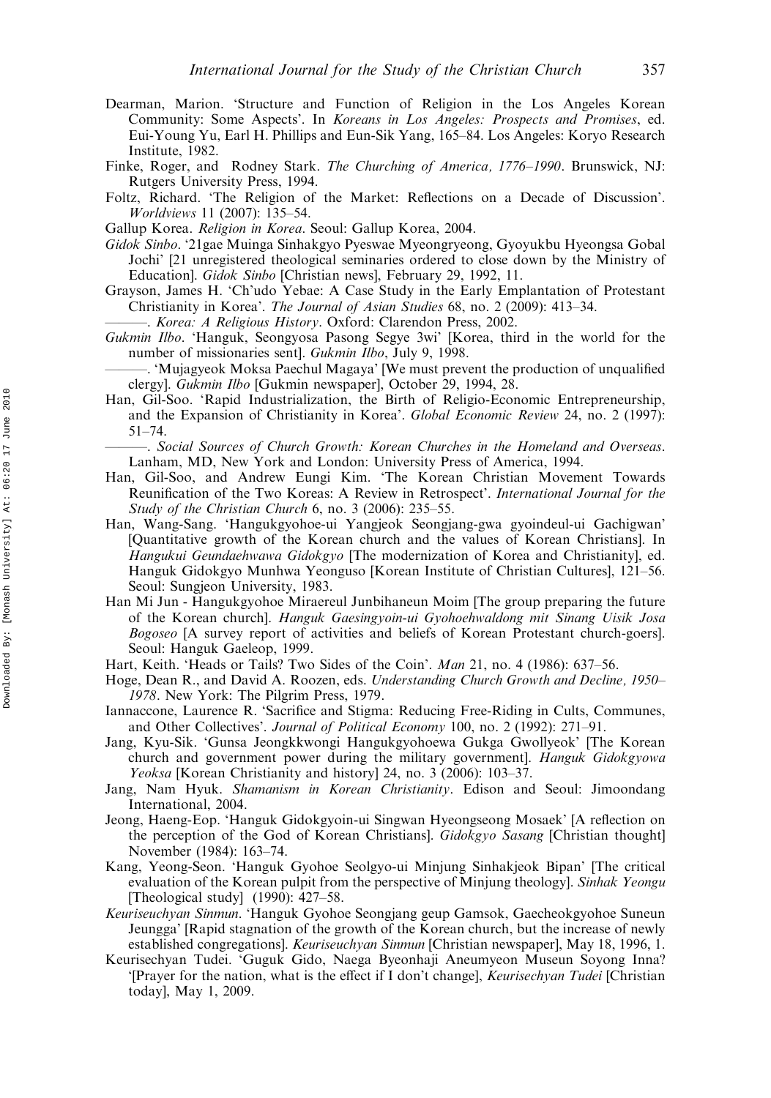- Dearman, Marion. 'Structure and Function of Religion in the Los Angeles Korean Community: Some Aspects'. In Koreans in Los Angeles: Prospects and Promises, ed. Eui-Young Yu, Earl H. Phillips and Eun-Sik Yang, 165–84. Los Angeles: Koryo Research Institute, 1982.
- Finke, Roger, and Rodney Stark. The Churching of America, 1776–1990. Brunswick, NJ: Rutgers University Press, 1994.
- Foltz, Richard. 'The Religion of the Market: Reflections on a Decade of Discussion'. Worldviews 11 (2007): 135–54.
- Gallup Korea. Religion in Korea. Seoul: Gallup Korea, 2004.
- Gidok Sinbo. '21gae Muinga Sinhakgyo Pyeswae Myeongryeong, Gyoyukbu Hyeongsa Gobal Jochi' [21 unregistered theological seminaries ordered to close down by the Ministry of Education]. Gidok Sinbo [Christian news], February 29, 1992, 11.
- Grayson, James H. 'Ch'udo Yebae: A Case Study in the Early Emplantation of Protestant Christianity in Korea'. The Journal of Asian Studies 68, no. 2 (2009): 413–34.
- -. Korea: A Religious History. Oxford: Clarendon Press, 2002.
- Gukmin Ilbo. 'Hanguk, Seongyosa Pasong Segye 3wi' [Korea, third in the world for the number of missionaries sent]. Gukmin Ilbo, July 9, 1998.
- ———. 'Mujagyeok Moksa Paechul Magaya' [We must prevent the production of unqualified clergy]. Gukmin Ilbo [Gukmin newspaper], October 29, 1994, 28.
- Han, Gil-Soo. 'Rapid Industrialization, the Birth of Religio-Economic Entrepreneurship, and the Expansion of Christianity in Korea'. Global Economic Review 24, no. 2 (1997): 51–74.
	- ———. Social Sources of Church Growth: Korean Churches in the Homeland and Overseas. Lanham, MD, New York and London: University Press of America, 1994.
- Han, Gil-Soo, and Andrew Eungi Kim. 'The Korean Christian Movement Towards Reunification of the Two Koreas: A Review in Retrospect'. International Journal for the Study of the Christian Church 6, no. 3 (2006): 235–55.
- Han, Wang-Sang. 'Hangukgyohoe-ui Yangjeok Seongjang-gwa gyoindeul-ui Gachigwan' [Quantitative growth of the Korean church and the values of Korean Christians]. In Hangukui Geundaehwawa Gidokgyo [The modernization of Korea and Christianity], ed. Hanguk Gidokgyo Munhwa Yeonguso [Korean Institute of Christian Cultures], 121–56. Seoul: Sungjeon University, 1983.
- Han Mi Jun Hangukgyohoe Miraereul Junbihaneun Moim [The group preparing the future of the Korean church]. Hanguk Gaesingyoin-ui Gyohoehwaldong mit Sinang Uisik Josa Bogoseo [A survey report of activities and beliefs of Korean Protestant church-goers]. Seoul: Hanguk Gaeleop, 1999.
- Hart, Keith. 'Heads or Tails? Two Sides of the Coin'. Man 21, no. 4 (1986): 637–56.
- Hoge, Dean R., and David A. Roozen, eds. Understanding Church Growth and Decline, 1950– 1978. New York: The Pilgrim Press, 1979.
- Iannaccone, Laurence R. 'Sacrifice and Stigma: Reducing Free-Riding in Cults, Communes, and Other Collectives'. Journal of Political Economy 100, no. 2 (1992): 271–91.
- Jang, Kyu-Sik. 'Gunsa Jeongkkwongi Hangukgyohoewa Gukga Gwollyeok' [The Korean church and government power during the military government]. Hanguk Gidokgyowa Yeoksa [Korean Christianity and history] 24, no. 3 (2006): 103–37.
- Jang, Nam Hyuk. Shamanism in Korean Christianity. Edison and Seoul: Jimoondang International, 2004.
- Jeong, Haeng-Eop. 'Hanguk Gidokgyoin-ui Singwan Hyeongseong Mosaek' [A reflection on the perception of the God of Korean Christians]. Gidokgyo Sasang [Christian thought] November (1984): 163–74.
- Kang, Yeong-Seon. 'Hanguk Gyohoe Seolgyo-ui Minjung Sinhakjeok Bipan' [The critical evaluation of the Korean pulpit from the perspective of Minjung theology]. Sinhak Yeongu [Theological study] (1990): 427–58.
- Keuriseuchyan Sinmun. 'Hanguk Gyohoe Seongjang geup Gamsok, Gaecheokgyohoe Suneun Jeungga' [Rapid stagnation of the growth of the Korean church, but the increase of newly established congregations]. Keuriseuchyan Sinmun [Christian newspaper], May 18, 1996, 1.
- Keurisechyan Tudei. 'Guguk Gido, Naega Byeonhaji Aneumyeon Museun Soyong Inna? '[Prayer for the nation, what is the effect if I don't change], Keurisechyan Tudei [Christian today], May 1, 2009.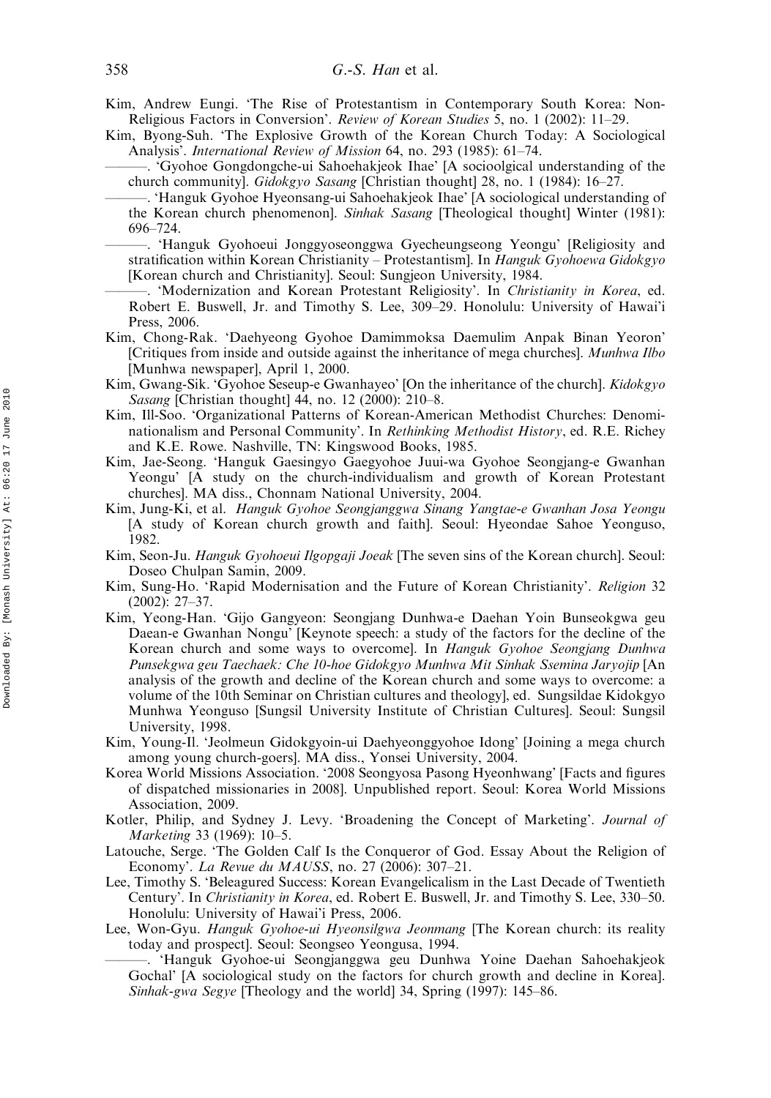- Kim, Andrew Eungi. 'The Rise of Protestantism in Contemporary South Korea: Non-Religious Factors in Conversion'. Review of Korean Studies 5, no. 1 (2002): 11–29.
- Kim, Byong-Suh. 'The Explosive Growth of the Korean Church Today: A Sociological Analysis'. International Review of Mission 64, no. 293 (1985): 61–74.

'Gyohoe Gongdongche-ui Sahoehakjeok Ihae' [A socioolgical understanding of the church community]. Gidokgyo Sasang [Christian thought] 28, no. 1 (1984): 16–27.

———. 'Hanguk Gyohoe Hyeonsang-ui Sahoehakjeok Ihae' [A sociological understanding of the Korean church phenomenon]. Sinhak Sasang [Theological thought] Winter (1981): 696–724.

———. 'Hanguk Gyohoeui Jonggyoseonggwa Gyecheungseong Yeongu' [Religiosity and stratification within Korean Christianity – Protestantism]. In Hanguk Gyohoewa Gidokgyo [Korean church and Christianity]. Seoul: Sungjeon University, 1984.

'Modernization and Korean Protestant Religiosity'. In Christianity in Korea, ed. Robert E. Buswell, Jr. and Timothy S. Lee, 309–29. Honolulu: University of Hawai'i Press, 2006.

- Kim, Chong-Rak. 'Daehyeong Gyohoe Damimmoksa Daemulim Anpak Binan Yeoron' [Critiques from inside and outside against the inheritance of mega churches]. Munhwa Ilbo [Munhwa newspaper], April 1, 2000.
- Kim, Gwang-Sik. 'Gyohoe Seseup-e Gwanhayeo' [On the inheritance of the church]. Kidokgyo Sasang [Christian thought] 44, no. 12 (2000): 210–8.
- Kim, Ill-Soo. 'Organizational Patterns of Korean-American Methodist Churches: Denominationalism and Personal Community'. In Rethinking Methodist History, ed. R.E. Richey and K.E. Rowe. Nashville, TN: Kingswood Books, 1985.
- Kim, Jae-Seong. 'Hanguk Gaesingyo Gaegyohoe Juui-wa Gyohoe Seongjang-e Gwanhan Yeongu' [A study on the church-individualism and growth of Korean Protestant churches]. MA diss., Chonnam National University, 2004.
- Kim, Jung-Ki, et al. Hanguk Gyohoe Seongjanggwa Sinang Yangtae-e Gwanhan Josa Yeongu [A study of Korean church growth and faith]. Seoul: Hyeondae Sahoe Yeonguso, 1982.
- Kim, Seon-Ju. *Hanguk Gyohoeui Ilgopgaji Joeak* [The seven sins of the Korean church]. Seoul: Doseo Chulpan Samin, 2009.
- Kim, Sung-Ho. 'Rapid Modernisation and the Future of Korean Christianity'. Religion 32 (2002): 27–37.
- Kim, Yeong-Han. 'Gijo Gangyeon: Seongjang Dunhwa-e Daehan Yoin Bunseokgwa geu Daean-e Gwanhan Nongu' [Keynote speech: a study of the factors for the decline of the Korean church and some ways to overcome]. In Hanguk Gyohoe Seongjang Dunhwa Punsekgwa geu Taechaek: Che 10-hoe Gidokgyo Munhwa Mit Sinhak Ssemina Jaryojip [An analysis of the growth and decline of the Korean church and some ways to overcome: a volume of the 10th Seminar on Christian cultures and theology], ed. Sungsildae Kidokgyo Munhwa Yeonguso [Sungsil University Institute of Christian Cultures]. Seoul: Sungsil University, 1998.
- Kim, Young-Il. 'Jeolmeun Gidokgyoin-ui Daehyeonggyohoe Idong' [Joining a mega church among young church-goers]. MA diss., Yonsei University, 2004.
- Korea World Missions Association. '2008 Seongyosa Pasong Hyeonhwang' [Facts and figures of dispatched missionaries in 2008]. Unpublished report. Seoul: Korea World Missions Association, 2009.
- Kotler, Philip, and Sydney J. Levy. 'Broadening the Concept of Marketing'. Journal of Marketing 33 (1969): 10–5.
- Latouche, Serge. 'The Golden Calf Is the Conqueror of God. Essay About the Religion of Economy'. La Revue du MAUSS, no. 27 (2006): 307–21.
- Lee, Timothy S. 'Beleagured Success: Korean Evangelicalism in the Last Decade of Twentieth Century'. In Christianity in Korea, ed. Robert E. Buswell, Jr. and Timothy S. Lee, 330–50. Honolulu: University of Hawai'i Press, 2006.
- Lee, Won-Gyu. Hanguk Gyohoe-ui Hyeonsilgwa Jeonmang [The Korean church: its reality today and prospect]. Seoul: Seongseo Yeongusa, 1994.

<sup>———. &#</sup>x27;Hanguk Gyohoe-ui Seongjanggwa geu Dunhwa Yoine Daehan Sahoehakjeok Gochal' [A sociological study on the factors for church growth and decline in Korea]. Sinhak-gwa Segye [Theology and the world] 34, Spring (1997): 145–86.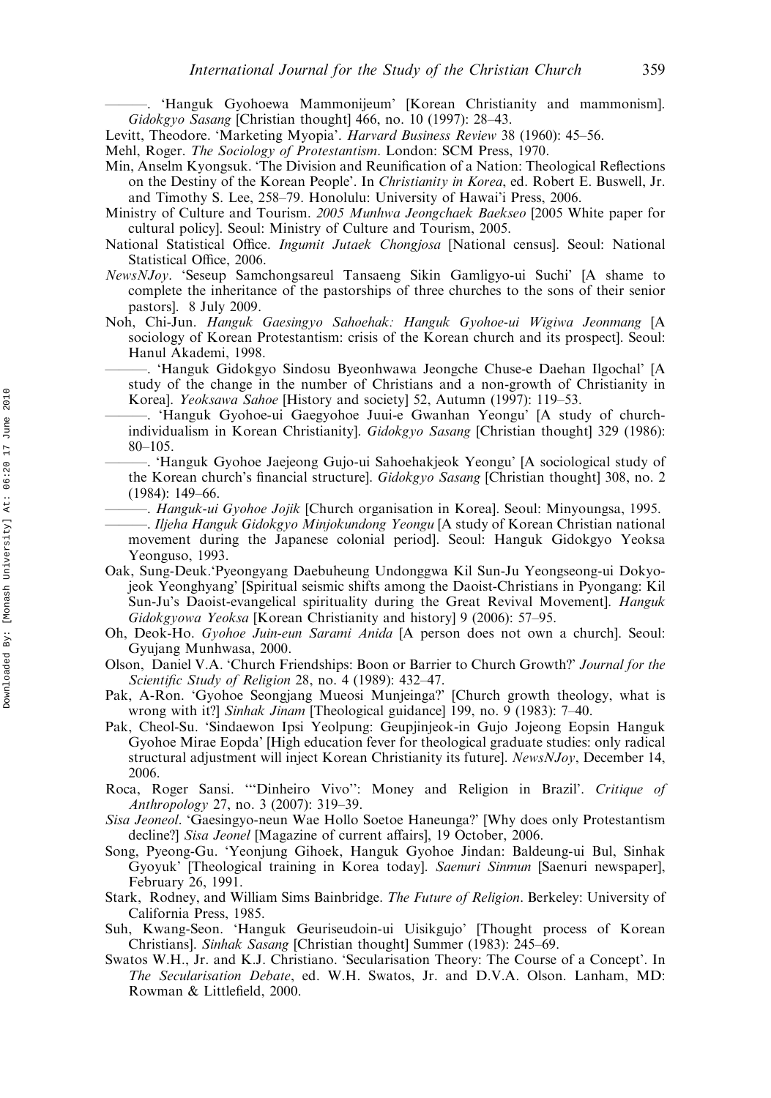———. 'Hanguk Gyohoewa Mammonijeum' [Korean Christianity and mammonism]. Gidokgyo Sasang [Christian thought] 466, no. 10 (1997): 28–43.

- Levitt, Theodore. 'Marketing Myopia'. Harvard Business Review 38 (1960): 45–56.
- Mehl, Roger. The Sociology of Protestantism. London: SCM Press, 1970.
- Min, Anselm Kyongsuk. 'The Division and Reunification of a Nation: Theological Reflections on the Destiny of the Korean People'. In *Christianity in Korea*, ed. Robert E. Buswell, Jr. and Timothy S. Lee, 258–79. Honolulu: University of Hawai'i Press, 2006.
- Ministry of Culture and Tourism. 2005 Munhwa Jeongchaek Baekseo [2005 White paper for cultural policy]. Seoul: Ministry of Culture and Tourism, 2005.
- National Statistical Office. Ingumit Jutaek Chongjosa [National census]. Seoul: National Statistical Office, 2006.
- NewsNJoy. 'Seseup Samchongsareul Tansaeng Sikin Gamligyo-ui Suchi' [A shame to complete the inheritance of the pastorships of three churches to the sons of their senior pastors]. 8 July 2009.
- Noh, Chi-Jun. Hanguk Gaesingyo Sahoehak: Hanguk Gyohoe-ui Wigiwa Jeonmang [A sociology of Korean Protestantism: crisis of the Korean church and its prospect]. Seoul: Hanul Akademi, 1998.
	- ———. 'Hanguk Gidokgyo Sindosu Byeonhwawa Jeongche Chuse-e Daehan Ilgochal' [A study of the change in the number of Christians and a non-growth of Christianity in Korea]. Yeoksawa Sahoe [History and society] 52, Autumn (1997): 119–53.
	- 'Hanguk Gyohoe-ui Gaegyohoe Juui-e Gwanhan Yeongu' [A study of churchindividualism in Korean Christianity]. Gidokgyo Sasang [Christian thought] 329 (1986): 80–105.
	- ———. 'Hanguk Gyohoe Jaejeong Gujo-ui Sahoehakjeok Yeongu' [A sociological study of the Korean church's financial structure]. Gidokgyo Sasang [Christian thought] 308, no. 2 (1984): 149–66.
	- -. Hanguk-ui Gyohoe Jojik [Church organisation in Korea]. Seoul: Minyoungsa, 1995.
	- -. Iljeha Hanguk Gidokgyo Minjokundong Yeongu [A study of Korean Christian national movement during the Japanese colonial period]. Seoul: Hanguk Gidokgyo Yeoksa Yeonguso, 1993.
- Oak, Sung-Deuk.'Pyeongyang Daebuheung Undonggwa Kil Sun-Ju Yeongseong-ui Dokyojeok Yeonghyang' [Spiritual seismic shifts among the Daoist-Christians in Pyongang: Kil Sun-Ju's Daoist-evangelical spirituality during the Great Revival Movement]. Hanguk Gidokgyowa Yeoksa [Korean Christianity and history] 9 (2006): 57–95.
- Oh, Deok-Ho. Gyohoe Juin-eun Sarami Anida [A person does not own a church]. Seoul: Gyujang Munhwasa, 2000.
- Olson, Daniel V.A. 'Church Friendships: Boon or Barrier to Church Growth?' Journal for the Scientific Study of Religion 28, no. 4 (1989): 432-47.
- Pak, A-Ron. 'Gyohoe Seongjang Mueosi Munjeinga?' [Church growth theology, what is wrong with it?] Sinhak Jinam [Theological guidance] 199, no. 9 (1983): 7–40.
- Pak, Cheol-Su. 'Sindaewon Ipsi Yeolpung: Geupjinjeok-in Gujo Jojeong Eopsin Hanguk Gyohoe Mirae Eopda' [High education fever for theological graduate studies: only radical structural adjustment will inject Korean Christianity its future]. NewsNJoy, December 14, 2006.
- Roca, Roger Sansi. "'Dinheiro Vivo": Money and Religion in Brazil'. Critique of Anthropology 27, no. 3 (2007): 319–39.
- Sisa Jeoneol. 'Gaesingyo-neun Wae Hollo Soetoe Haneunga?' [Why does only Protestantism decline?] Sisa Jeonel [Magazine of current affairs], 19 October, 2006.
- Song, Pyeong-Gu. 'Yeonjung Gihoek, Hanguk Gyohoe Jindan: Baldeung-ui Bul, Sinhak Gyoyuk' [Theological training in Korea today]. Saenuri Sinmun [Saenuri newspaper], February 26, 1991.
- Stark, Rodney, and William Sims Bainbridge. The Future of Religion. Berkeley: University of California Press, 1985.
- Suh, Kwang-Seon. 'Hanguk Geuriseudoin-ui Uisikgujo' [Thought process of Korean Christians]. Sinhak Sasang [Christian thought] Summer (1983): 245–69.
- Swatos W.H., Jr. and K.J. Christiano. 'Secularisation Theory: The Course of a Concept'. In The Secularisation Debate, ed. W.H. Swatos, Jr. and D.V.A. Olson. Lanham, MD: Rowman & Littlefield, 2000.